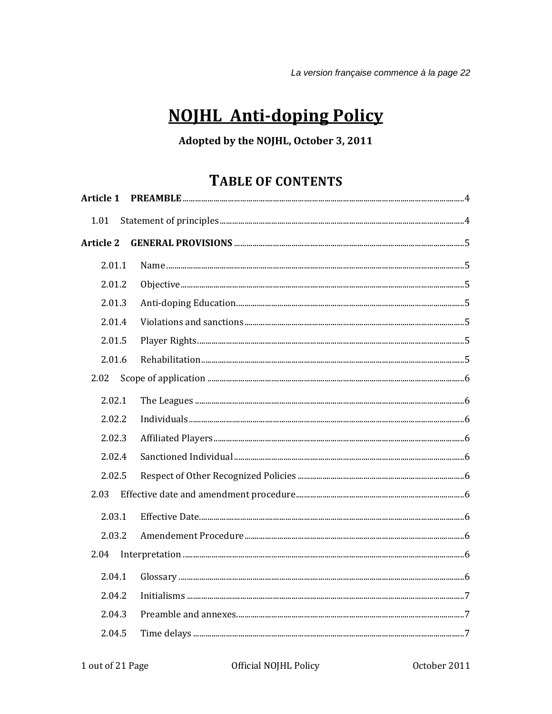# **NOJHL Anti-doping Policy**

# Adopted by the NOJHL, October 3, 2011

# **TABLE OF CONTENTS**

| <b>Article 1</b> |  |
|------------------|--|
| 1.01             |  |
| <b>Article 2</b> |  |
| 2.01.1           |  |
| 2.01.2           |  |
| 2.01.3           |  |
| 2.01.4           |  |
| 2.01.5           |  |
| 2.01.6           |  |
| 2.02             |  |
| 2.02.1           |  |
| 2.02.2           |  |
| 2.02.3           |  |
| 2.02.4           |  |
| 2.02.5           |  |
| 2.03             |  |
| 2.03.1           |  |
| 2.03.2           |  |
| 2.04             |  |
| 2.04.1           |  |
| 2.04.2           |  |
| 2.04.3           |  |
| 2.04.5           |  |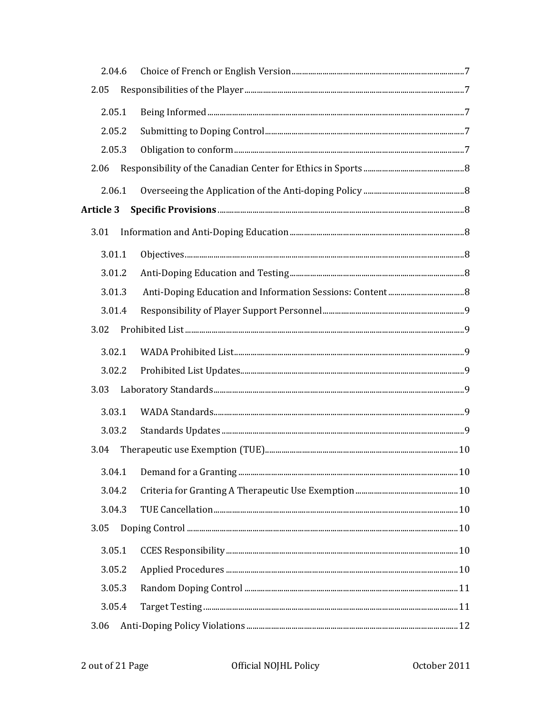| 2.04.6           |  |  |
|------------------|--|--|
| 2.05             |  |  |
| 2.05.1           |  |  |
| 2.05.2           |  |  |
| 2.05.3           |  |  |
| 2.06             |  |  |
| 2.06.1           |  |  |
| <b>Article 3</b> |  |  |
| 3.01             |  |  |
| 3.01.1           |  |  |
| 3.01.2           |  |  |
| 3.01.3           |  |  |
| 3.01.4           |  |  |
| 3.02             |  |  |
| 3.02.1           |  |  |
| 3.02.2           |  |  |
| 3.03             |  |  |
| 3.03.1           |  |  |
| 3.03.2           |  |  |
| 3.04             |  |  |
|                  |  |  |
| 3.04.2           |  |  |
| 3.04.3           |  |  |
| 3.05             |  |  |
| 3.05.1           |  |  |
| 3.05.2           |  |  |
| 3.05.3           |  |  |
| 3.05.4           |  |  |
| 3.06             |  |  |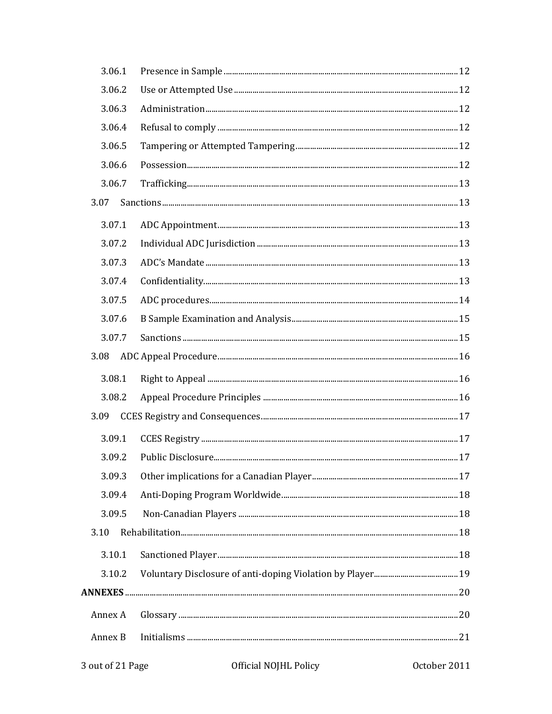| 3.06.1  |  |  |
|---------|--|--|
| 3.06.2  |  |  |
| 3.06.3  |  |  |
| 3.06.4  |  |  |
| 3.06.5  |  |  |
| 3.06.6  |  |  |
| 3.06.7  |  |  |
| 3.07    |  |  |
| 3.07.1  |  |  |
| 3.07.2  |  |  |
| 3.07.3  |  |  |
| 3.07.4  |  |  |
| 3.07.5  |  |  |
| 3.07.6  |  |  |
| 3.07.7  |  |  |
| 3.08    |  |  |
| 3.08.1  |  |  |
| 3.08.2  |  |  |
| 3.09    |  |  |
| 3.09.1  |  |  |
| 3.09.2  |  |  |
| 3.09.3  |  |  |
| 3.09.4  |  |  |
| 3.09.5  |  |  |
| 3.10    |  |  |
| 3.10.1  |  |  |
| 3.10.2  |  |  |
|         |  |  |
| Annex A |  |  |
| Annex B |  |  |
|         |  |  |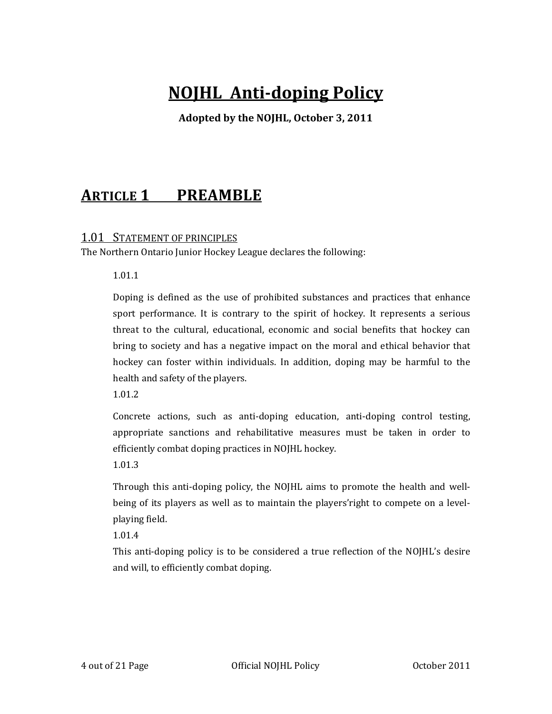# **NOJHL Antidoping Policy**

**Adopted by the NOJHL, October 3, 2011**

# **ARTICLE 1 PREAMBLE**

# 1.01 STATEMENT OF PRINCIPLES

The Northern Ontario Junior Hockey League declares the following:

1.01.1

Doping is defined as the use of prohibited substances and practices that enhance sport performance. It is contrary to the spirit of hockey. It represents a serious threat to the cultural, educational, economic and social benefits that hockey can bring to society and has a negative impact on the moral and ethical behavior that hockey can foster within individuals. In addition, doping may be harmful to the health and safety of the players.

1.01.2

Concrete actions, such as anti‐doping education, anti‐doping control testing, appropriate sanctions and rehabilitative measures must be taken in order to efficiently combat doping practices in NOJHL hockey.

1.01.3

Through this anti-doping policy, the NOJHL aims to promote the health and wellbeing of its players as well as to maintain the players' right to compete on a levelplaying field.

1.01.4

This anti-doping policy is to be considered a true reflection of the NOJHL's desire and will, to efficiently combat doping.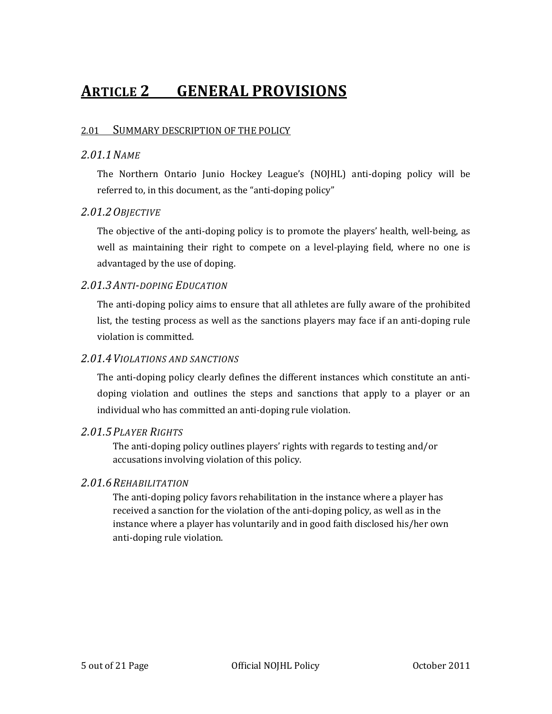# **ARTICLE 2 GENERAL PROVISIONS**

### 2.01 SUMMARY DESCRIPTION OF THE POLICY

### *2.01.1NAME*

The Northern Ontario Junio Hockey League's (NOJHL) anti‐doping policy will be referred to, in this document, as the "anti-doping policy"

### *2.01.2OBJECTIVE*

The objective of the anti-doping policy is to promote the players' health, well-being, as well as maintaining their right to compete on a level-playing field, where no one is advantaged by the use of doping.

### *2.01.3ANTIDOPING EDUCATION*

The anti-doping policy aims to ensure that all athletes are fully aware of the prohibited list, the testing process as well as the sanctions players may face if an anti‐doping rule violation is committed.

### *2.01.4VIOLATIONS AND SANCTIONS*

The anti-doping policy clearly defines the different instances which constitute an antidoping violation and outlines the steps and sanctions that apply to a player or an individual who has committed an anti‐doping rule violation.

### *2.01.5PLAYER RIGHTS*

The anti-doping policy outlines players' rights with regards to testing and/or accusations involving violation of this policy.

### *2.01.6REHABILITATION*

The anti-doping policy favors rehabilitation in the instance where a player has received a sanction for the violation of the anti-doping policy, as well as in the instance where a player has voluntarily and in good faith disclosed his/her own anti‐doping rule violation.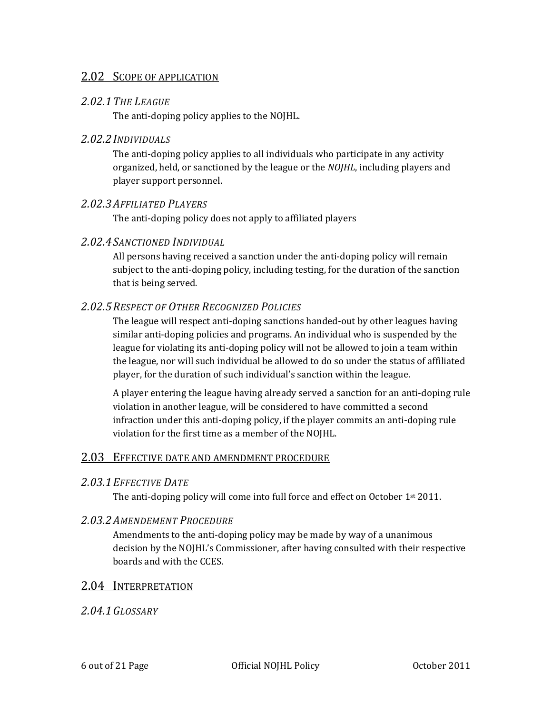### 2.02 SCOPE OF APPLICATION

### *2.02.1THE LEAGUE*

The anti-doping policy applies to the NOJHL.

### *2.02.2INDIVIDUALS*

The anti-doping policy applies to all individuals who participate in any activity organized, held, or sanctioned by the league or the *NOJHL*, including players and player support personnel.

### *2.02.3AFFILIATED PLAYERS*

The anti-doping policy does not apply to affiliated players

### *2.02.4SANCTIONED INDIVIDUAL*

All persons having received a sanction under the anti‐doping policy will remain subject to the anti‐doping policy, including testing, for the duration of the sanction that is being served.

### *2.02.5RESPECT OF OTHER RECOGNIZED POLICIES*

The league will respect anti-doping sanctions handed-out by other leagues having similar anti‐doping policies and programs. An individual who is suspended by the league for violating its anti‐doping policy will not be allowed to join a team within the league, nor will such individual be allowed to do so under the status of affiliated player, for the duration of such individual's sanction within the league.

A player entering the league having already served a sanction for an anti‐doping rule violation in another league, will be considered to have committed a second infraction under this anti-doping policy, if the player commits an anti-doping rule violation for the first time as a member of the NOJHL.

### 2.03 EFFECTIVE DATE AND AMENDMENT PROCEDURE

### *2.03.1EFFECTIVE DATE*

The anti-doping policy will come into full force and effect on October 1<sup>st</sup> 2011.

### *2.03.2AMENDEMENT PROCEDURE*

Amendments to the anti-doping policy may be made by way of a unanimous decision by the NOJHL's Commissioner, after having consulted with their respective boards and with the CCES.

### 2.04 INTERPRETATION

### *2.04.1GLOSSARY*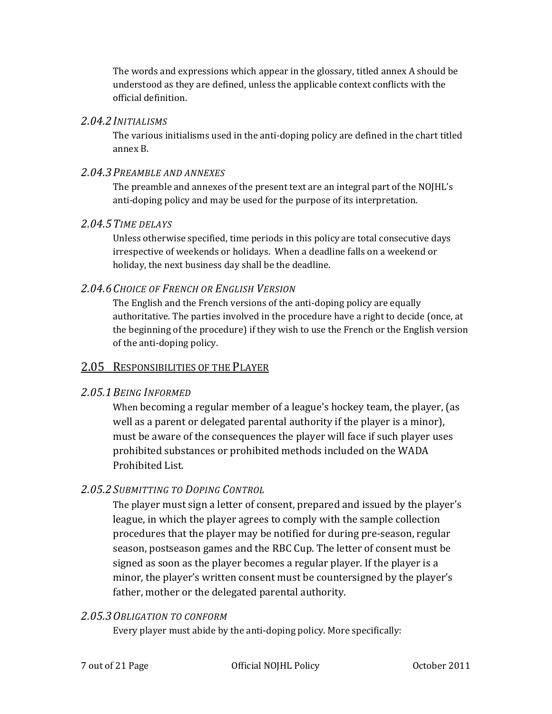The words and expressions which appear in the glossary, titled annex A should be understood as they are defined, unless the applicable context conflicts with the official definition.

### *2.04.2INITIALISMS*

The various initialisms used in the anti-doping policy are defined in the chart titled annex B.

### *2.04.3PREAMBLE AND ANNEXES*

The preamble and annexes of the present text are an integral part of the NOJHL's anti-doping policy and may be used for the purpose of its interpretation.

### *2.04.5TIME DELAYS*

Unless otherwise specified, time periods in this policy are total consecutive days irrespective of weekends or holidays. When a deadline falls on a weekend or holiday, the next business day shall be the deadline.

### *2.04.6CHOICE OF FRENCH OR ENGLISH VERSION*

The English and the French versions of the anti-doping policy are equally authoritative. The parties involved in the procedure have a right to decide (once, at the beginning of the procedure) if they wish to use the French or the English version of the anti‐doping policy.

# 2.05 RESPONSIBILITIES OF THE PLAYER

### *2.05.1BEING INFORMED*

When becoming a regular member of a league's hockey team, the player, (as well as a parent or delegated parental authority if the player is a minor), must be aware of the consequences the player will face if such player uses prohibited substances or prohibited methods included on the WADA Prohibited List.

# *2.05.2SUBMITTING TO DOPING CONTROL*

The player must sign a letter of consent, prepared and issued by the player's league, in which the player agrees to comply with the sample collection procedures that the player may be notified for during pre‐season, regular season, postseason games and the RBC Cup. The letter of consent must be signed as soon as the player becomes a regular player. If the player is a minor, the player's written consent must be countersigned by the player's father, mother or the delegated parental authority.

### *2.05.3OBLIGATION TO CONFORM*

Every player must abide by the anti-doping policy. More specifically: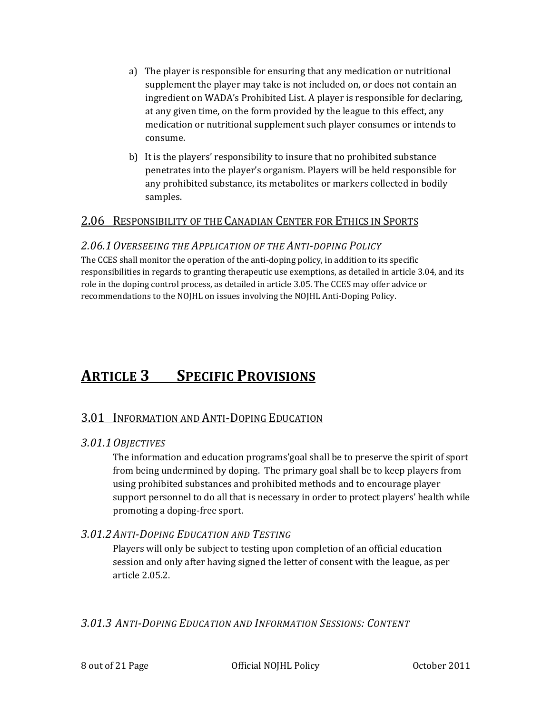- a) The player is responsible for ensuring that any medication or nutritional supplement the player may take is not included on, or does not contain an ingredient on WADA's Prohibited List. A player is responsible for declaring, at any given time, on the form provided by the league to this effect, any medication or nutritional supplement such player consumes or intends to consume.
- b) It is the players' responsibility to insure that no prohibited substance penetrates into the player's organism. Players will be held responsible for any prohibited substance, its metabolites or markers collected in bodily samples.

### 2.06 RESPONSIBILITY OF THE CANADIAN CENTER FOR ETHICS IN SPORTS

### *2.06.1OVERSEEING THE APPLICATION OF THE ANTIDOPING POLICY*

The CCES shall monitor the operation of the anti-doping policy, in addition to its specific responsibilities in regards to granting therapeutic use exemptions, as detailed in article 3.04, and its role in the doping control process, as detailed in article 3.05. The CCES may offer advice or recommendations to the NOJHL on issues involving the NOJHL Anti‐Doping Policy.

# **ARTICLE 3 SPECIFIC PROVISIONS**

# **3.01 INFORMATION AND ANTI-DOPING EDUCATION**

### *3.01.1OBJECTIVES*

The information and education programs'goal shall be to preserve the spirit of sport from being undermined by doping. The primary goal shall be to keep players from using prohibited substances and prohibited methods and to encourage player support personnel to do all that is necessary in order to protect players' health while promoting a doping‐free sport.

# *3.01.2ANTIDOPING EDUCATION AND TESTING*

Players will only be subject to testing upon completion of an official education session and only after having signed the letter of consent with the league, as per article 2.05.2.

*3.01.3 ANTIDOPING EDUCATION AND INFORMATION SESSIONS: CONTENT*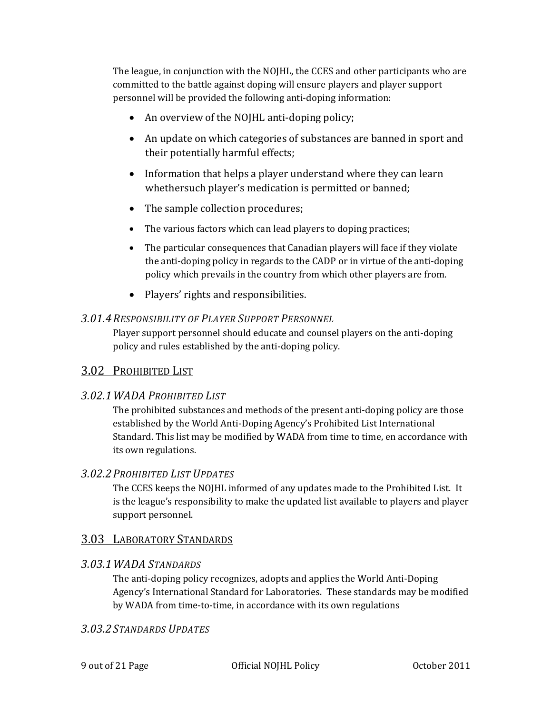The league, in conjunction with the NOJHL, the CCES and other participants who are committed to the battle against doping will ensure players and player support personnel will be provided the following anti‐doping information:

- An overview of the NOJHL anti-doping policy;
- An update on which categories of substances are banned in sport and their potentially harmful effects;
- Information that helps a player understand where they can learn whethersuch player's medication is permitted or banned;
- The sample collection procedures;
- The various factors which can lead players to doping practices;
- The particular consequences that Canadian players will face if they violate the anti‐doping policy in regards to the CADP or in virtue of the anti‐doping policy which prevails in the country from which other players are from.
- Players' rights and responsibilities.

### *3.01.4RESPONSIBILITY OF PLAYER SUPPORT PERSONNEL*

Player support personnel should educate and counsel players on the anti‐doping policy and rules established by the anti‐doping policy.

# 3.02 PROHIBITED LIST

# *3.02.1WADA PROHIBITED LIST*

The prohibited substances and methods of the present anti-doping policy are those established by the World Anti‐Doping Agency's Prohibited List International Standard. This list may be modified by WADA from time to time, en accordance with its own regulations.

# *3.02.2PROHIBITED LIST UPDATES*

The CCES keeps the NOJHL informed of any updates made to the Prohibited List. It is the league's responsibility to make the updated list available to players and player support personnel.

# 3.03 LABORATORY STANDARDS

# *3.03.1WADA STANDARDS*

The anti-doping policy recognizes, adopts and applies the World Anti-Doping Agency's International Standard for Laboratories. These standards may be modified by WADA from time-to-time, in accordance with its own regulations

# *3.03.2STANDARDS UPDATES*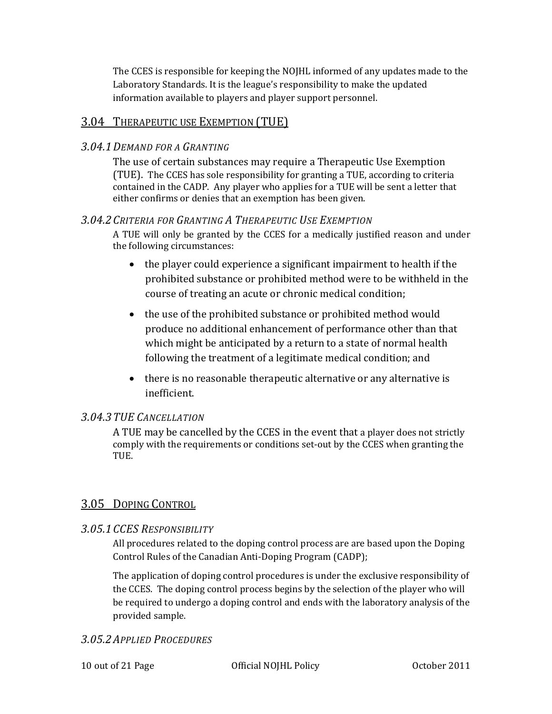The CCES is responsible for keeping the NOJHL informed of any updates made to the Laboratory Standards. It is the league's responsibility to make the updated information available to players and player support personnel.

# 3.04 THERAPEUTIC USE EXEMPTION (TUE)

### *3.04.1DEMAND FOR A GRANTING*

The use of certain substances may require a Therapeutic Use Exemption (TUE). The CCES has sole responsibility for granting a TUE, according to criteria contained in the CADP. Any player who applies for a TUE will be sent a letter that either confirms or denies that an exemption has been given.

### *3.04.2CRITERIA FOR GRANTING A THERAPEUTIC USE EXEMPTION*

A TUE will only be granted by the CCES for a medically justified reason and under the following circumstances:

- the player could experience a significant impairment to health if the prohibited substance or prohibited method were to be withheld in the course of treating an acute or chronic medical condition;
- the use of the prohibited substance or prohibited method would produce no additional enhancement of performance other than that which might be anticipated by a return to a state of normal health following the treatment of a legitimate medical condition; and
- there is no reasonable therapeutic alternative or any alternative is inefficient.

### *3.04.3TUE CANCELLATION*

A TUE may be cancelled by the CCES in the event that a player does not strictly comply with the requirements or conditions set‐out by the CCES when granting the TUE.

# 3.05 DOPING CONTROL

# *3.05.1CCES RESPONSIBILITY*

All procedures related to the doping control process are are based upon the Doping Control Rules of the Canadian Anti‐Doping Program (CADP);

The application of doping control procedures is under the exclusive responsibility of the CCES. The doping control process begins by the selection of the player who will be required to undergo a doping control and ends with the laboratory analysis of the provided sample.

### *3.05.2APPLIED PROCEDURES*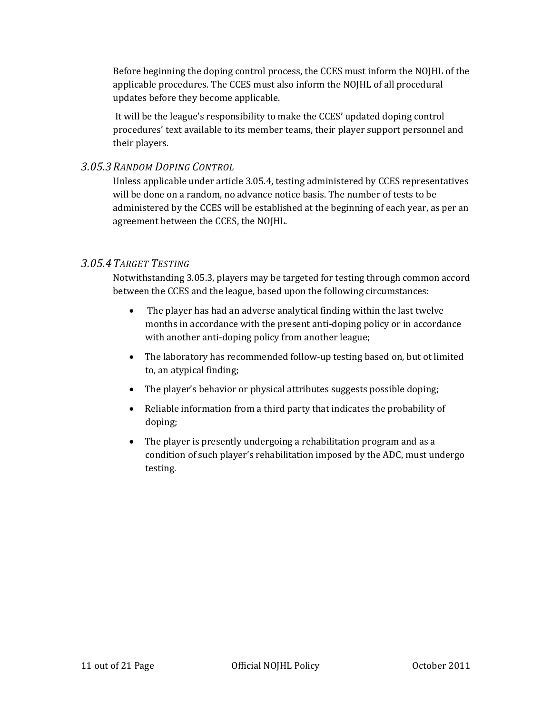Before beginning the doping control process, the CCES must inform the NOJHL of the applicable procedures. The CCES must also inform the NOJHL of all procedural updates before they become applicable.

 It will be the league's responsibility to make the CCES' updated doping control procedures' text available to its member teams, their player support personnel and their players.

### *3.05.3RANDOM DOPING CONTROL*

Unless applicable under article 3.05.4, testing administered by CCES representatives will be done on a random, no advance notice basis. The number of tests to be administered by the CCES will be established at the beginning of each year, as per an agreement between the CCES, the NOJHL.

### *3.05.4TARGET TESTING*

Notwithstanding 3.05.3, players may be targeted for testing through common accord between the CCES and the league, based upon the following circumstances:

- The player has had an adverse analytical finding within the last twelve months in accordance with the present anti‐doping policy or in accordance with another anti-doping policy from another league;
- The laboratory has recommended follow-up testing based on, but ot limited to, an atypical finding;
- The player's behavior or physical attributes suggests possible doping;
- Reliable information from a third party that indicates the probability of doping;
- The player is presently undergoing a rehabilitation program and as a condition of such player's rehabilitation imposed by the ADC, must undergo testing.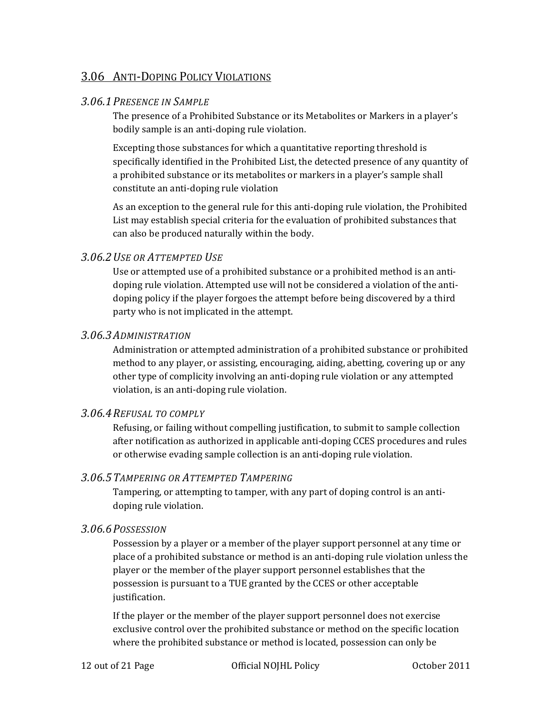# 3.06 ANTI‐DOPING POLICY VIOLATIONS

### *3.06.1PRESENCE IN SAMPLE*

The presence of a Prohibited Substance or its Metabolites or Markers in a player's bodily sample is an anti‐doping rule violation.

Excepting those substances for which a quantitative reporting threshold is specifically identified in the Prohibited List, the detected presence of any quantity of a prohibited substance or its metabolites or markers in a player's sample shall constitute an anti‐doping rule violation

As an exception to the general rule for this anti-doping rule violation, the Prohibited List may establish special criteria for the evaluation of prohibited substances that can also be produced naturally within the body.

### *3.06.2USE OR ATTEMPTED USE*

Use or attempted use of a prohibited substance or a prohibited method is an antidoping rule violation. Attempted use will not be considered a violation of the anti‐ doping policy if the player forgoes the attempt before being discovered by a third party who is not implicated in the attempt.

#### *3.06.3ADMINISTRATION*

Administration or attempted administration of a prohibited substance or prohibited method to any player, or assisting, encouraging, aiding, abetting, covering up or any other type of complicity involving an anti‐doping rule violation or any attempted violation, is an anti‐doping rule violation.

#### *3.06.4REFUSAL TO COMPLY*

Refusing, or failing without compelling justification, to submit to sample collection after notification as authorized in applicable anti‐doping CCES procedures and rules or otherwise evading sample collection is an anti‐doping rule violation.

### *3.06.5TAMPERING OR ATTEMPTED TAMPERING*

Tampering, or attempting to tamper, with any part of doping control is an anti‐ doping rule violation.

### *3.06.6POSSESSION*

Possession by a player or a member of the player support personnel at any time or place of a prohibited substance or method is an anti‐doping rule violation unless the player or the member of the player support personnel establishes that the possession is pursuant to a TUE granted by the CCES or other acceptable justification.

If the player or the member of the player support personnel does not exercise exclusive control over the prohibited substance or method on the specific location where the prohibited substance or method is located, possession can only be

12 out of 21 Page Official NOJHL Policy October 2011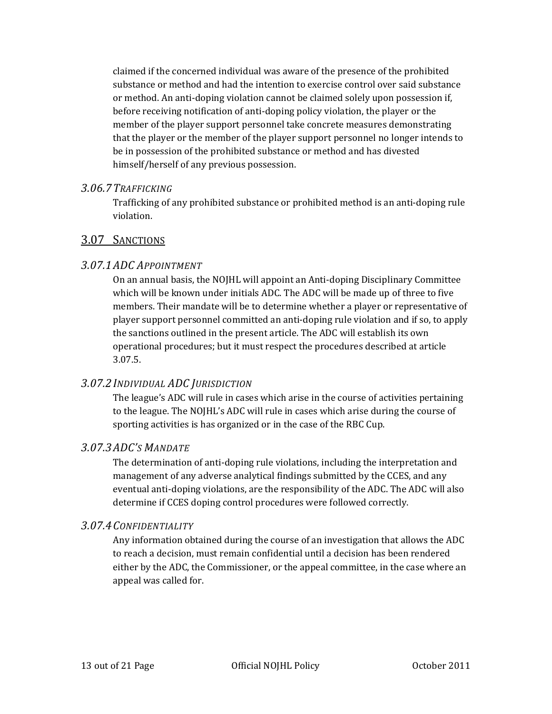claimed if the concerned individual was aware of the presence of the prohibited substance or method and had the intention to exercise control over said substance or method. An anti‐doping violation cannot be claimed solely upon possession if, before receiving notification of anti-doping policy violation, the player or the member of the player support personnel take concrete measures demonstrating that the player or the member of the player support personnel no longer intends to be in possession of the prohibited substance or method and has divested himself/herself of any previous possession.

### *3.06.7TRAFFICKING*

Trafficking of any prohibited substance or prohibited method is an anti‐doping rule violation.

# 3.07 SANCTIONS

### *3.07.1ADC APPOINTMENT*

On an annual basis, the NOJHL will appoint an Anti-doping Disciplinary Committee which will be known under initials ADC. The ADC will be made up of three to five members. Their mandate will be to determine whether a player or representative of player support personnel committed an anti‐doping rule violation and if so, to apply the sanctions outlined in the present article. The ADC will establish its own operational procedures; but it must respect the procedures described at article 3.07.5.

# *3.07.2INDIVIDUAL ADC JURISDICTION*

The league's ADC will rule in cases which arise in the course of activities pertaining to the league. The NOJHL's ADC will rule in cases which arise during the course of sporting activities is has organized or in the case of the RBC Cup.

### *3.07.3ADC'S MANDATE*

The determination of anti-doping rule violations, including the interpretation and management of any adverse analytical findings submitted by the CCES, and any eventual anti-doping violations, are the responsibility of the ADC. The ADC will also determine if CCES doping control procedures were followed correctly.

### *3.07.4CONFIDENTIALITY*

Any information obtained during the course of an investigation that allows the ADC to reach a decision, must remain confidential until a decision has been rendered either by the ADC, the Commissioner, or the appeal committee, in the case where an appeal was called for.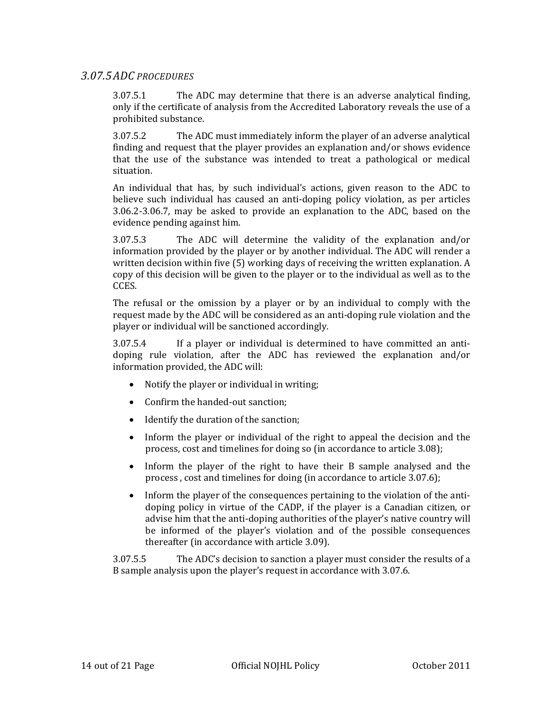### *3.07.5ADC PROCEDURES*

3.07.5.1 The ADC may determine that there is an adverse analytical finding, only if the certificate of analysis from the Accredited Laboratory reveals the use of a prohibited substance.

3.07.5.2 The ADC must immediately inform the player of an adverse analytical finding and request that the player provides an explanation and/or shows evidence that the use of the substance was intended to treat a pathological or medical situation.

An individual that has, by such individual's actions, given reason to the ADC to believe such individual has caused an anti‐doping policy violation, as per articles 3.06.2‐3.06.7, may be asked to provide an explanation to the ADC, based on the evidence pending against him.

3.07.5.3 The ADC will determine the validity of the explanation and/or information provided by the player or by another individual. The ADC will render a written decision within five (5) working days of receiving the written explanation. A copy of this decision will be given to the player or to the individual as well as to the CCES.

The refusal or the omission by a player or by an individual to comply with the request made by the ADC will be considered as an anti‐doping rule violation and the player or individual will be sanctioned accordingly.

3.07.5.4 If a player or individual is determined to have committed an antidoping rule violation, after the ADC has reviewed the explanation and/or information provided, the ADC will:

- Notify the player or individual in writing;
- Confirm the handed-out sanction;
- Identify the duration of the sanction;
- Inform the player or individual of the right to appeal the decision and the process, cost and timelines for doing so (in accordance to article 3.08);
- Inform the player of the right to have their B sample analysed and the process , cost and timelines for doing (in accordance to article 3.07.6);
- Inform the player of the consequences pertaining to the violation of the antidoping policy in virtue of the CADP, if the player is a Canadian citizen, or advise him that the anti‐doping authorities of the player's native country will be informed of the player's violation and of the possible consequences thereafter (in accordance with article 3.09).

3.07.5.5 The ADC's decision to sanction a player must consider the results of a B sample analysis upon the player's request in accordance with 3.07.6.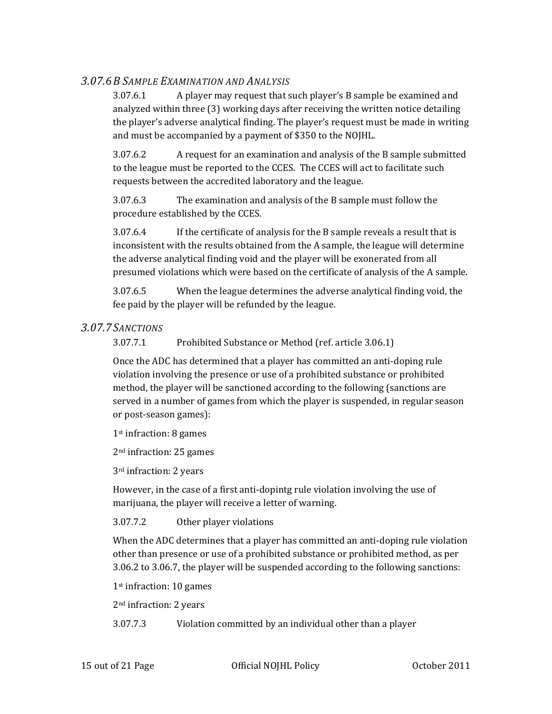### *3.07.6B SAMPLE EXAMINATION AND ANALYSIS*

3.07.6.1 A player may request that such player's B sample be examined and analyzed within three (3) working days after receiving the written notice detailing the player's adverse analytical finding. The player's request must be made in writing and must be accompanied by a payment of \$350 to the NOJHL.

3.07.6.2 A request for an examination and analysis of the B sample submitted to the league must be reported to the CCES. The CCES will act to facilitate such requests between the accredited laboratory and the league.

3.07.6.3 The examination and analysis of the B sample must follow the procedure established by the CCES.

3.07.6.4 If the certificate of analysis for the B sample reveals a result that is inconsistent with the results obtained from the A sample, the league will determine the adverse analytical finding void and the player will be exonerated from all presumed violations which were based on the certificate of analysis of the A sample.

3.07.6.5 When the league determines the adverse analytical finding void, the fee paid by the player will be refunded by the league.

### *3.07.7SANCTIONS*

3.07.7.1 Prohibited Substance or Method (ref. article 3.06.1)

Once the ADC has determined that a player has committed an anti‐doping rule violation involving the presence or use of a prohibited substance or prohibited method, the player will be sanctioned according to the following (sanctions are served in a number of games from which the player is suspended, in regular season or post‐season games):

1st infraction: 8 games

2nd infraction: 25 games

3rd infraction: 2 years

However, in the case of a first anti‐dopintg rule violation involving the use of marijuana, the player will receive a letter of warning.

3.07.7.2 Other player violations

When the ADC determines that a player has committed an anti-doping rule violation other than presence or use of a prohibited substance or prohibited method, as per 3.06.2 to 3.06.7, the player will be suspended according to the following sanctions:

1st infraction: 10 games

2nd infraction: 2 years

3.07.7.3 Violation committed by an individual other than a player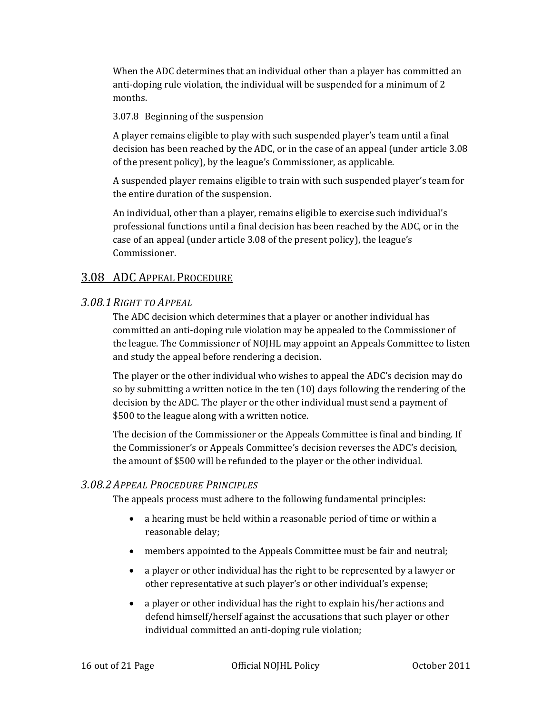When the ADC determines that an individual other than a player has committed an anti-doping rule violation, the individual will be suspended for a minimum of 2 months.

3.07.8 Beginning of the suspension

A player remains eligible to play with such suspended player's team until a final decision has been reached by the ADC, or in the case of an appeal (under article 3.08 of the present policy), by the league's Commissioner, as applicable.

A suspended player remains eligible to train with such suspended player's team for the entire duration of the suspension.

An individual, other than a player, remains eligible to exercise such individual's professional functions until a final decision has been reached by the ADC, or in the case of an appeal (under article 3.08 of the present policy), the league's Commissioner.

# 3.08 ADC APPEAL PROCEDURE

### *3.08.1RIGHT TO APPEAL*

The ADC decision which determines that a player or another individual has committed an anti‐doping rule violation may be appealed to the Commissioner of the league. The Commissioner of NOJHL may appoint an Appeals Committee to listen and study the appeal before rendering a decision.

The player or the other individual who wishes to appeal the ADC's decision may do so by submitting a written notice in the ten (10) days following the rendering of the decision by the ADC. The player or the other individual must send a payment of \$500 to the league along with a written notice.

The decision of the Commissioner or the Appeals Committee is final and binding. If the Commissioner's or Appeals Committee's decision reverses the ADC's decision, the amount of \$500 will be refunded to the player or the other individual.

### *3.08.2APPEAL PROCEDURE PRINCIPLES*

The appeals process must adhere to the following fundamental principles:

- a hearing must be held within a reasonable period of time or within a reasonable delay;
- members appointed to the Appeals Committee must be fair and neutral;
- a player or other individual has the right to be represented by a lawyer or other representative at such player's or other individual's expense;
- a player or other individual has the right to explain his/her actions and defend himself/herself against the accusations that such player or other individual committed an anti‐doping rule violation;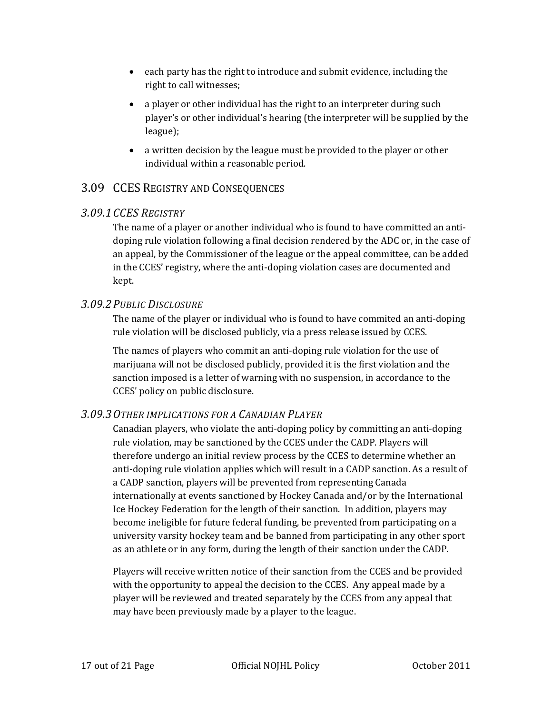- each party has the right to introduce and submit evidence, including the right to call witnesses;
- a player or other individual has the right to an interpreter during such player's or other individual's hearing (the interpreter will be supplied by the league);
- a written decision by the league must be provided to the player or other individual within a reasonable period.

# 3.09 CCES REGISTRY AND CONSEQUENCES

### *3.09.1CCES REGISTRY*

The name of a player or another individual who is found to have committed an antidoping rule violation following a final decision rendered by the ADC or, in the case of an appeal, by the Commissioner of the league or the appeal committee, can be added in the CCES' registry, where the anti-doping violation cases are documented and kept.

### *3.09.2PUBLIC DISCLOSURE*

The name of the player or individual who is found to have commited an anti-doping rule violation will be disclosed publicly, via a press release issued by CCES.

The names of players who commit an anti-doping rule violation for the use of marijuana will not be disclosed publicly, provided it is the first violation and the sanction imposed is a letter of warning with no suspension, in accordance to the CCES' policy on public disclosure.

# *3.09.3OTHER IMPLICATIONS FOR A CANADIAN PLAYER*

Canadian players, who violate the anti‐doping policy by committing an anti‐doping rule violation, may be sanctioned by the CCES under the CADP. Players will therefore undergo an initial review process by the CCES to determine whether an anti-doping rule violation applies which will result in a CADP sanction. As a result of a CADP sanction, players will be prevented from representing Canada internationally at events sanctioned by Hockey Canada and/or by the International Ice Hockey Federation for the length of their sanction. In addition, players may become ineligible for future federal funding, be prevented from participating on a university varsity hockey team and be banned from participating in any other sport as an athlete or in any form, during the length of their sanction under the CADP.

Players will receive written notice of their sanction from the CCES and be provided with the opportunity to appeal the decision to the CCES. Any appeal made by a player will be reviewed and treated separately by the CCES from any appeal that may have been previously made by a player to the league.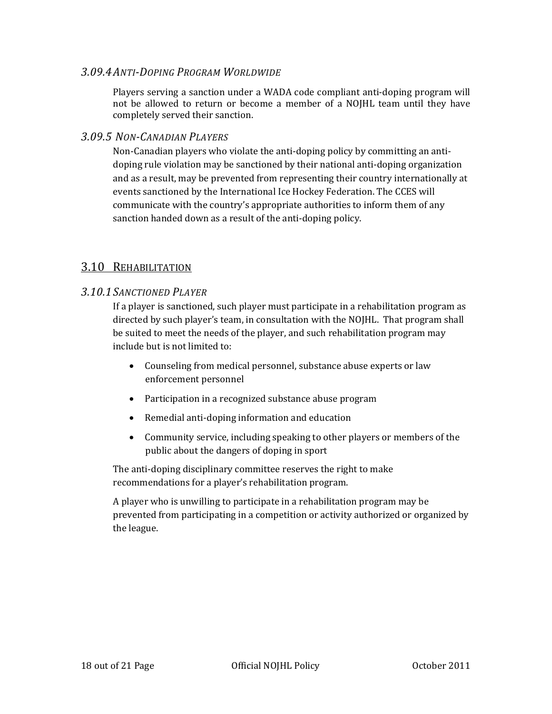### *3.09.4ANTIDOPING PROGRAM WORLDWIDE*

Players serving a sanction under a WADA code compliant anti‐doping program will not be allowed to return or become a member of a NOJHL team until they have completely served their sanction.

### *3.09.5 NONCANADIAN PLAYERS*

Non-Canadian players who violate the anti-doping policy by committing an antidoping rule violation may be sanctioned by their national anti‐doping organization and as a result, may be prevented from representing their country internationally at events sanctioned by the International Ice Hockey Federation. The CCES will communicate with the country's appropriate authorities to inform them of any sanction handed down as a result of the anti-doping policy.

### 3.10 REHABILITATION

### *3.10.1SANCTIONED PLAYER*

If a player is sanctioned, such player must participate in a rehabilitation program as directed by such player's team, in consultation with the NOJHL. That program shall be suited to meet the needs of the player, and such rehabilitation program may include but is not limited to:

- Counseling from medical personnel, substance abuse experts or law enforcement personnel
- Participation in a recognized substance abuse program
- Remedial anti‐doping information and education
- Community service, including speaking to other players or members of the public about the dangers of doping in sport

The anti-doping disciplinary committee reserves the right to make recommendations for a player's rehabilitation program.

A player who is unwilling to participate in a rehabilitation program may be prevented from participating in a competition or activity authorized or organized by the league.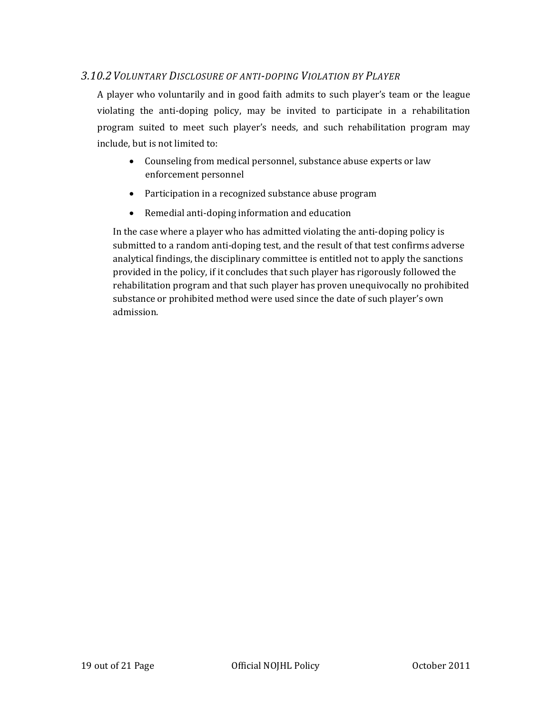### *3.10.2VOLUNTARY DISCLOSURE OF ANTIDOPING VIOLATION BY PLAYER*

A player who voluntarily and in good faith admits to such player's team or the league violating the anti‐doping policy, may be invited to participate in a rehabilitation program suited to meet such player's needs, and such rehabilitation program may include, but is not limited to:

- Counseling from medical personnel, substance abuse experts or law enforcement personnel
- Participation in a recognized substance abuse program
- Remedial anti‐doping information and education

In the case where a player who has admitted violating the anti-doping policy is submitted to a random anti‐doping test, and the result of that test confirms adverse analytical findings, the disciplinary committee is entitled not to apply the sanctions provided in the policy, if it concludes that such player has rigorously followed the rehabilitation program and that such player has proven unequivocally no prohibited substance or prohibited method were used since the date of such player's own admission.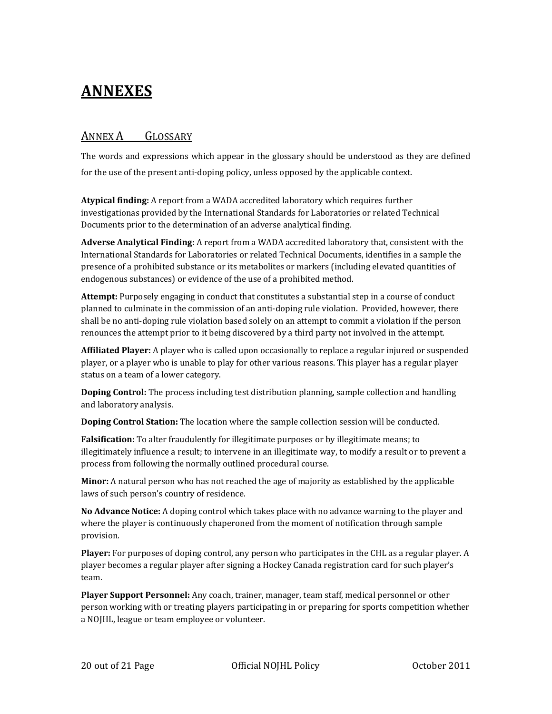# **ANNEXES**

# ANNEX A GLOSSARY

The words and expressions which appear in the glossary should be understood as they are defined for the use of the present anti-doping policy, unless opposed by the applicable context.

**Atypical finding:** A report from a WADA accredited laboratory which requires further investigationas provided by the International Standards for Laboratories or related Technical Documents prior to the determination of an adverse analytical finding.

**Adverse Analytical Finding:** A report from a WADA accredited laboratory that, consistent with the International Standards for Laboratories or related Technical Documents, identifies in a sample the presence of a prohibited substance or its metabolites or markers (including elevated quantities of endogenous substances) or evidence of the use of a prohibited method.

**Attempt:** Purposely engaging in conduct that constitutes a substantial step in a course of conduct planned to culminate in the commission of an anti‐doping rule violation. Provided, however, there shall be no anti‐doping rule violation based solely on an attempt to commit a violation if the person renounces the attempt prior to it being discovered by a third party not involved in the attempt.

**Affiliated Player:** A player who is called upon occasionally to replace a regular injured or suspended player, or a player who is unable to play for other various reasons. This player has a regular player status on a team of a lower category.

**Doping Control:** The process including test distribution planning, sample collection and handling and laboratory analysis.

**Doping Control Station:** The location where the sample collection session will be conducted.

**Falsification:** To alter fraudulently for illegitimate purposes or by illegitimate means; to illegitimately influence a result; to intervene in an illegitimate way, to modify a result or to prevent a process from following the normally outlined procedural course.

**Minor:** A natural person who has not reached the age of majority as established by the applicable laws of such person's country of residence.

**No Advance Notice:** A doping control which takes place with no advance warning to the player and where the player is continuously chaperoned from the moment of notification through sample provision.

**Player:** For purposes of doping control, any person who participates in the CHL as a regular player. A player becomes a regular player after signing a Hockey Canada registration card for such player's team.

**Player Support Personnel:** Any coach, trainer, manager, team staff, medical personnel or other person working with or treating players participating in or preparing for sports competition whether a NOJHL, league or team employee or volunteer.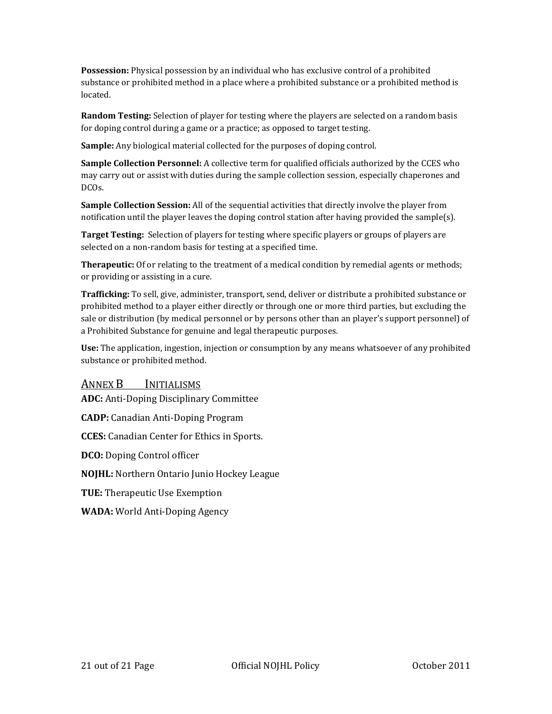**Possession:** Physical possession by an individual who has exclusive control of a prohibited substance or prohibited method in a place where a prohibited substance or a prohibited method is located.

**Random Testing:** Selection of player for testing where the players are selected on a random basis for doping control during a game or a practice; as opposed to target testing.

**Sample:** Any biological material collected for the purposes of doping control.

**Sample Collection Personnel:** A collective term for qualified officials authorized by the CCES who may carry out or assist with duties during the sample collection session, especially chaperones and DCOs.

**Sample Collection Session:** All of the sequential activities that directly involve the player from notification until the player leaves the doping control station after having provided the sample(s).

**Target Testing:** Selection of players for testing where specific players or groups of players are selected on a non-random basis for testing at a specified time.

**Therapeutic:** Of or relating to the treatment of a medical condition by remedial agents or methods; or providing or assisting in a cure.

**Trafficking:** To sell, give, administer, transport, send, deliver or distribute a prohibited substance or prohibited method to a player either directly or through one or more third parties, but excluding the sale or distribution (by medical personnel or by persons other than an player's support personnel) of a Prohibited Substance for genuine and legal therapeutic purposes.

**Use:** The application, ingestion, injection or consumption by any means whatsoever of any prohibited substance or prohibited method.

### ANNEX B INITIALISMS

**ADC:** Anti‐Doping Disciplinary Committee

**CADP:** Canadian Anti‐Doping Program

**CCES:** Canadian Center for Ethics in Sports.

**DCO:** Doping Control officer

**NOJHL:** Northern Ontario Junio Hockey League

**TUE:** Therapeutic Use Exemption

**WADA:** World Anti‐Doping Agency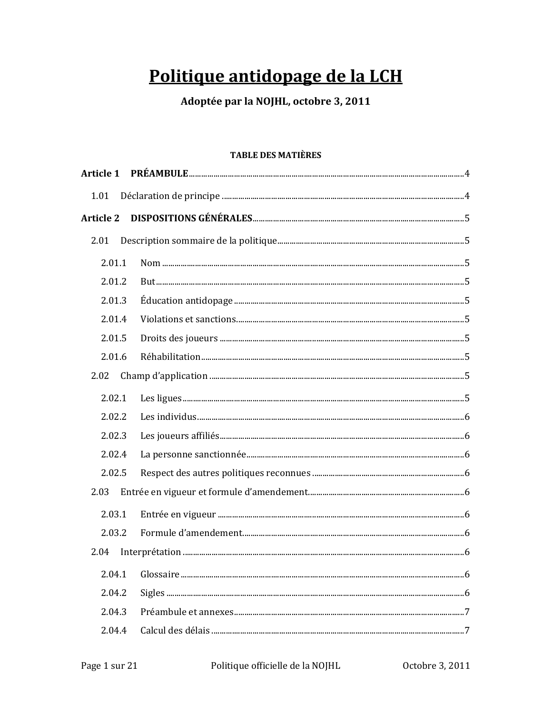# Politique antidopage de la LCH

# Adoptée par la NOJHL, octobre 3, 2011

### **TABLE DES MATIÈRES**

| <b>Article 1</b> |  |
|------------------|--|
| 1.01             |  |
| <b>Article 2</b> |  |
| 2.01             |  |
| 2.01.1           |  |
| 2.01.2           |  |
| 2.01.3           |  |
| 2.01.4           |  |
| 2.01.5           |  |
| 2.01.6           |  |
| 2.02             |  |
| 2.02.1           |  |
| 2.02.2           |  |
| 2.02.3           |  |
| 2.02.4           |  |
| 2.02.5           |  |
| 2.03             |  |
| 2.03.1           |  |
| 2.03.2           |  |
| 2.04             |  |
| 2.04.1           |  |
| 2.04.2           |  |
| 2.04.3           |  |
| 2.04.4           |  |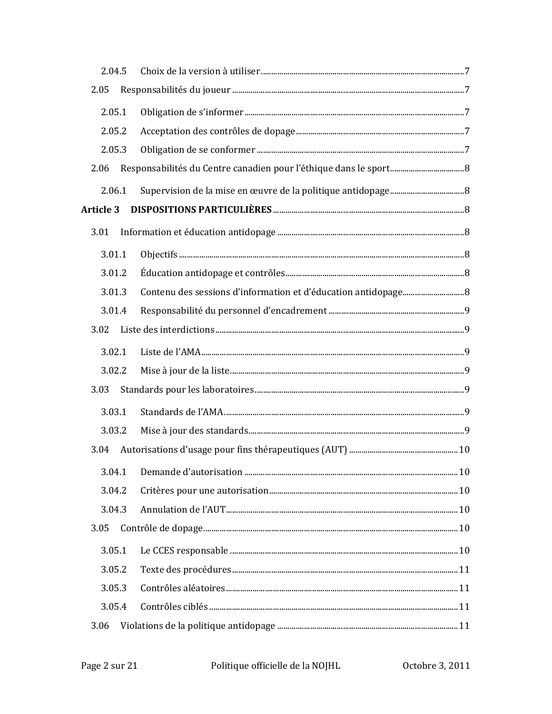| 2.04.5           |  |  |
|------------------|--|--|
| 2.05             |  |  |
| 2.05.1           |  |  |
| 2.05.2           |  |  |
| 2.05.3           |  |  |
| 2.06             |  |  |
| 2.06.1           |  |  |
| <b>Article 3</b> |  |  |
| 3.01             |  |  |
| 3.01.1           |  |  |
| 3.01.2           |  |  |
| 3.01.3           |  |  |
| 3.01.4           |  |  |
| 3.02             |  |  |
| 3.02.1           |  |  |
| 3.02.2           |  |  |
| 3.03             |  |  |
| 3.03.1           |  |  |
| 3.03.2           |  |  |
| 3.04             |  |  |
| 3.04.1           |  |  |
| 3.04.2           |  |  |
| 3.04.3           |  |  |
| 3.05             |  |  |
| 3.05.1           |  |  |
| 3.05.2           |  |  |
| 3.05.3           |  |  |
| 3.05.4           |  |  |
| 3.06             |  |  |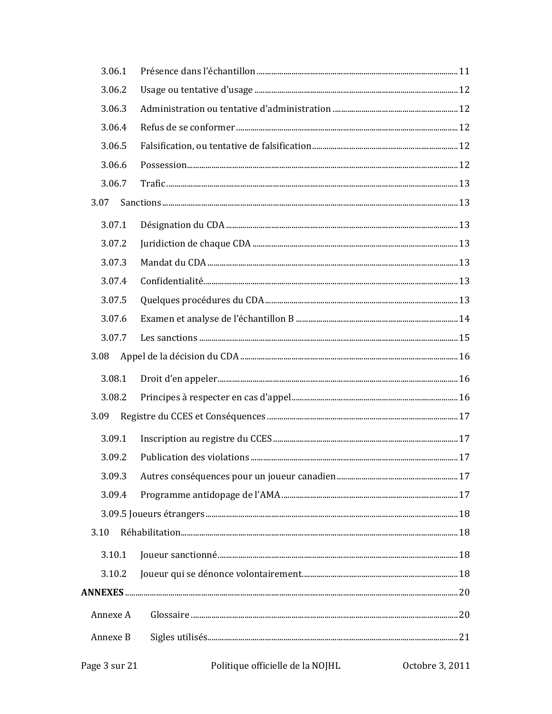| 3.06.1   |  |
|----------|--|
| 3.06.2   |  |
| 3.06.3   |  |
| 3.06.4   |  |
| 3.06.5   |  |
| 3.06.6   |  |
| 3.06.7   |  |
| 3.07     |  |
| 3.07.1   |  |
| 3.07.2   |  |
| 3.07.3   |  |
| 3.07.4   |  |
| 3.07.5   |  |
| 3.07.6   |  |
| 3.07.7   |  |
| 3.08     |  |
| 3.08.1   |  |
| 3.08.2   |  |
| 3.09     |  |
| 3.09.1   |  |
| 3.09.2   |  |
| 3.09.3   |  |
| 3.09.4   |  |
|          |  |
| 3.10     |  |
| 3.10.1   |  |
| 3.10.2   |  |
|          |  |
| Annexe A |  |
| Annexe B |  |
|          |  |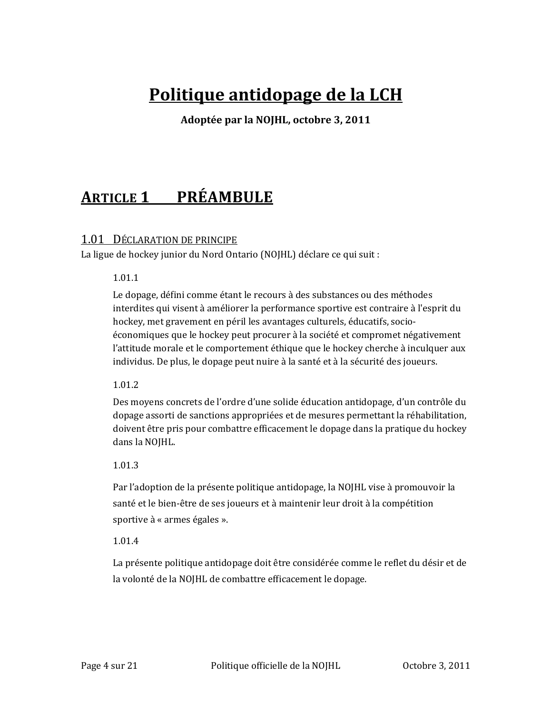# **Politique antidopage de la LCH**

**Adoptée par la NOJHL, octobre 3, 2011**

# **ARTICLE 1 PRÉAMBULE**

### 1.01 DÉCLARATION DE PRINCIPE

La ligue de hockey junior du Nord Ontario (NOJHL) déclare ce qui suit :

### 1.01.1

Le dopage, défini comme étant le recours à des substances ou des méthodes interdites qui visent à améliorer la performance sportive est contraire à l'esprit du hockey, met gravement en péril les avantages culturels, éducatifs, socio‐ économiques que le hockey peut procurer à la société et compromet négativement l'attitude morale et le comportement éthique que le hockey cherche à inculquer aux individus. De plus, le dopage peut nuire à la santé et à la sécurité des joueurs.

### 1.01.2

Des moyens concrets de l'ordre d'une solide éducation antidopage, d'un contrôle du dopage assorti de sanctions appropriées et de mesures permettant la réhabilitation, doivent être pris pour combattre efficacement le dopage dans la pratique du hockey dans la NOJHL.

### 1.01.3

Par l'adoption de la présente politique antidopage, la NOJHL vise à promouvoir la santé et le bien‐être de ses joueurs et à maintenir leur droit à la compétition sportive à « armes égales ».

### 1.01.4

La présente politique antidopage doit être considérée comme le reflet du désir et de la volonté de la NOJHL de combattre efficacement le dopage.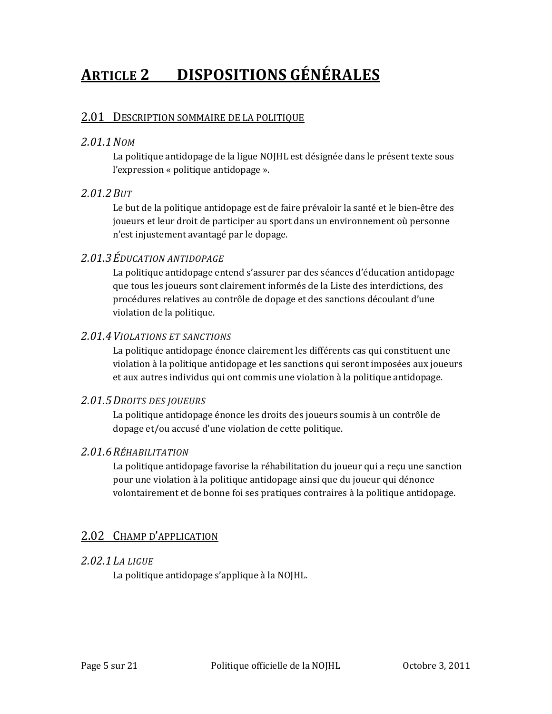# **ARTICLE 2 DISPOSITIONS GÉNÉRALES**

### 2.01 DESCRIPTION SOMMAIRE DE LA POLITIQUE

### *2.01.1NOM*

La politique antidopage de la ligue NOJHL est désignée dans le présent texte sous l'expression « politique antidopage ».

### *2.01.2BUT*

Le but de la politique antidopage est de faire prévaloir la santé et le bien‐être des joueurs et leur droit de participer au sport dans un environnement où personne n'est injustement avantagé par le dopage.

# *2.01.3ÉDUCATION ANTIDOPAGE*

La politique antidopage entend s'assurer par des séances d'éducation antidopage que tous les joueurs sont clairement informés de la Liste des interdictions, des procédures relatives au contrôle de dopage et des sanctions découlant d'une violation de la politique.

### *2.01.4VIOLATIONS ET SANCTIONS*

La politique antidopage énonce clairement les différents cas qui constituent une violation à la politique antidopage et les sanctions qui seront imposées aux joueurs et aux autres individus qui ont commis une violation à la politique antidopage.

### *2.01.5DROITS DES JOUEURS*

La politique antidopage énonce les droits des joueurs soumis à un contrôle de dopage et/ou accusé d'une violation de cette politique.

### *2.01.6RÉHABILITATION*

La politique antidopage favorise la réhabilitation du joueur qui a reçu une sanction pour une violation à la politique antidopage ainsi que du joueur qui dénonce volontairement et de bonne foi ses pratiques contraires à la politique antidopage.

# 2.02 CHAMP D'APPLICATION

### *2.02.1LA LIGUE*

La politique antidopage s'applique à la NOJHL.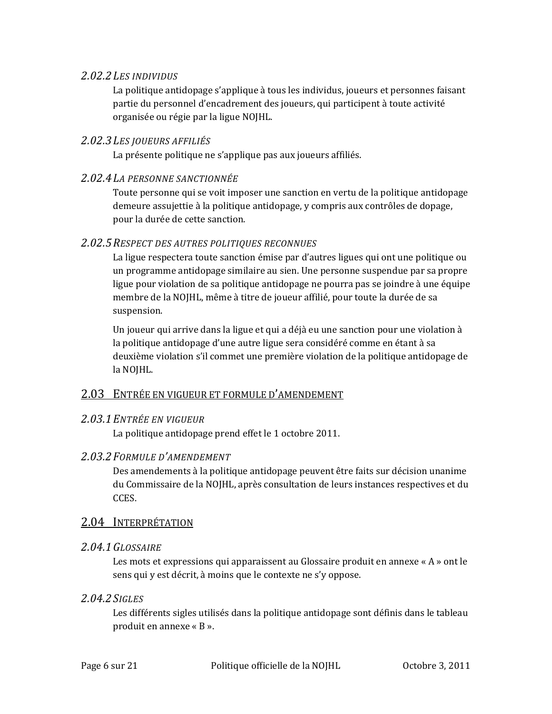### *2.02.2LES INDIVIDUS*

La politique antidopage s'applique à tous les individus, joueurs et personnes faisant partie du personnel d'encadrement des joueurs, qui participent à toute activité organisée ou régie par la ligue NOJHL.

### *2.02.3LES JOUEURS AFFILIÉS*

La présente politique ne s'applique pas aux joueurs affiliés.

### *2.02.4LA PERSONNE SANCTIONNÉE*

Toute personne qui se voit imposer une sanction en vertu de la politique antidopage demeure assujettie à la politique antidopage, y compris aux contrôles de dopage, pour la durée de cette sanction.

### *2.02.5RESPECT DES AUTRES POLITIQUES RECONNUES*

La ligue respectera toute sanction émise par d'autres ligues qui ont une politique ou un programme antidopage similaire au sien. Une personne suspendue par sa propre ligue pour violation de sa politique antidopage ne pourra pas se joindre à une équipe membre de la NOJHL, même à titre de joueur affilié, pour toute la durée de sa suspension.

Un joueur qui arrive dans la ligue et qui a déjà eu une sanction pour une violation à la politique antidopage d'une autre ligue sera considéré comme en étant à sa deuxième violation s'il commet une première violation de la politique antidopage de la NOJHL.

# 2.03 ENTRÉE EN VIGUEUR ET FORMULE D'AMENDEMENT

### *2.03.1ENTRÉE EN VIGUEUR*

La politique antidopage prend effet le 1 octobre 2011.

# *2.03.2FORMULE D'AMENDEMENT*

Des amendements à la politique antidopage peuvent être faits sur décision unanime du Commissaire de la NOJHL, après consultation de leurs instances respectives et du CCES.

# 2.04 INTERPRÉTATION

### *2.04.1GLOSSAIRE*

Les mots et expressions qui apparaissent au Glossaire produit en annexe « A » ont le sens qui y est décrit, à moins que le contexte ne s'y oppose.

### *2.04.2SIGLES*

Les différents sigles utilisés dans la politique antidopage sont définis dans le tableau produit en annexe « B ».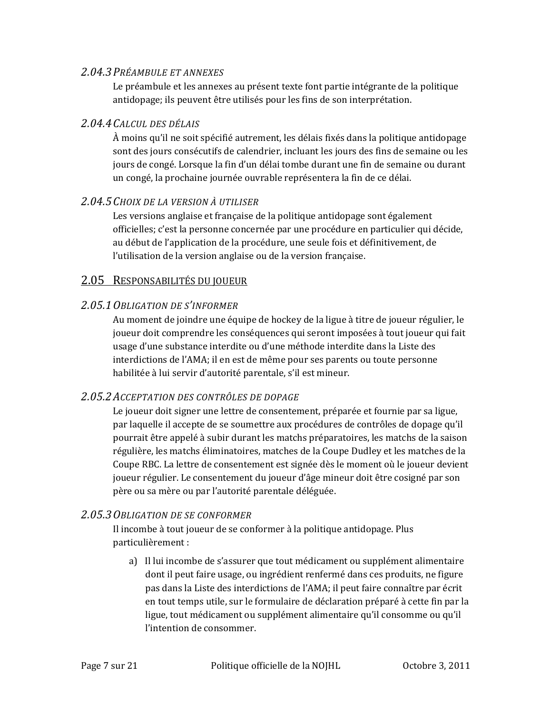### *2.04.3PRÉAMBULE ET ANNEXES*

Le préambule et les annexes au présent texte font partie intégrante de la politique antidopage; ils peuvent être utilisés pour les fins de son interprétation.

### *2.04.4CALCUL DES DÉLAIS*

À moins qu'il ne soit spécifié autrement, les délais fixés dans la politique antidopage sont des jours consécutifs de calendrier, incluant les jours des fins de semaine ou les jours de congé. Lorsque la fin d'un délai tombe durant une fin de semaine ou durant un congé, la prochaine journée ouvrable représentera la fin de ce délai.

### *2.04.5CHOIX DE LA VERSION À UTILISER*

Les versions anglaise et française de la politique antidopage sont également officielles; c'est la personne concernée par une procédure en particulier qui décide, au début de l'application de la procédure, une seule fois et définitivement, de l'utilisation de la version anglaise ou de la version française.

### 2.05 RESPONSABILITÉS DU JOUEUR

# *2.05.1OBLIGATION DE S'INFORMER*

Au moment de joindre une équipe de hockey de la ligue à titre de joueur régulier, le joueur doit comprendre les conséquences qui seront imposées à tout joueur qui fait usage d'une substance interdite ou d'une méthode interdite dans la Liste des interdictions de l'AMA; il en est de même pour ses parents ou toute personne habilitée à lui servir d'autorité parentale, s'il est mineur.

# *2.05.2ACCEPTATION DES CONTRÔLES DE DOPAGE*

Le joueur doit signer une lettre de consentement, préparée et fournie par sa ligue, par laquelle il accepte de se soumettre aux procédures de contrôles de dopage qu'il pourrait être appelé à subir durant les matchs préparatoires, les matchs de la saison régulière, les matchs éliminatoires, matches de la Coupe Dudley et les matches de la Coupe RBC. La lettre de consentement est signée dès le moment où le joueur devient joueur régulier. Le consentement du joueur d'âge mineur doit être cosigné par son père ou sa mère ou par l'autorité parentale déléguée.

# *2.05.3OBLIGATION DE SE CONFORMER*

Il incombe à tout joueur de se conformer à la politique antidopage. Plus particulièrement :

a) Il lui incombe de s'assurer que tout médicament ou supplément alimentaire dont il peut faire usage, ou ingrédient renfermé dans ces produits, ne figure pas dans la Liste des interdictions de l'AMA; il peut faire connaître par écrit en tout temps utile, sur le formulaire de déclaration préparé à cette fin par la ligue, tout médicament ou supplément alimentaire qu'il consomme ou qu'il l'intention de consommer.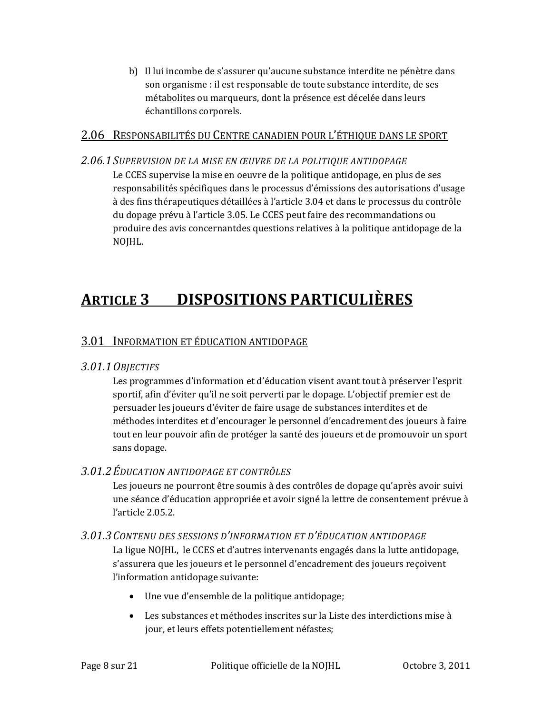b) Il lui incombe de s'assurer qu'aucune substance interdite ne pénètre dans son organisme : il est responsable de toute substance interdite, de ses métabolites ou marqueurs, dont la présence est décelée dans leurs échantillons corporels.

### 2.06 RESPONSABILITÉS DU CENTRE CANADIEN POUR L'ÉTHIQUE DANS LE SPORT

*2.06.1SUPERVISION DE LA MISE EN ŒUVRE DE LA POLITIQUE ANTIDOPAGE* Le CCES supervise la mise en oeuvre de la politique antidopage, en plus de ses responsabilités spécifiques dans le processus d'émissions des autorisations d'usage à des fins thérapeutiques détaillées à l'article 3.04 et dans le processus du contrôle du dopage prévu à l'article 3.05. Le CCES peut faire des recommandations ou produire des avis concernantdes questions relatives à la politique antidopage de la NOJHL.

# **ARTICLE 3 DISPOSITIONS PARTICULIÈRES**

# 3.01 INFORMATION ET ÉDUCATION ANTIDOPAGE

# *3.01.1OBJECTIFS*

Les programmes d'information et d'éducation visent avant tout à préserver l'esprit sportif, afin d'éviter qu'il ne soit perverti par le dopage. L'objectif premier est de persuader les joueurs d'éviter de faire usage de substances interdites et de méthodes interdites et d'encourager le personnel d'encadrement des joueurs à faire tout en leur pouvoir afin de protéger la santé des joueurs et de promouvoir un sport sans dopage.

# *3.01.2ÉDUCATION ANTIDOPAGE ET CONTRÔLES*

Les joueurs ne pourront être soumis à des contrôles de dopage qu'après avoir suivi une séance d'éducation appropriée et avoir signé la lettre de consentement prévue à l'article 2.05.2.

### *3.01.3CONTENU DES SESSIONS D'INFORMATION ET D'ÉDUCATION ANTIDOPAGE*

La ligue NOJHL, le CCES et d'autres intervenants engagés dans la lutte antidopage, s'assurera que les joueurs et le personnel d'encadrement des joueurs reçoivent l'information antidopage suivante:

- Une vue d'ensemble de la politique antidopage;
- Les substances et méthodes inscrites sur la Liste des interdictions mise à jour, et leurs effets potentiellement néfastes;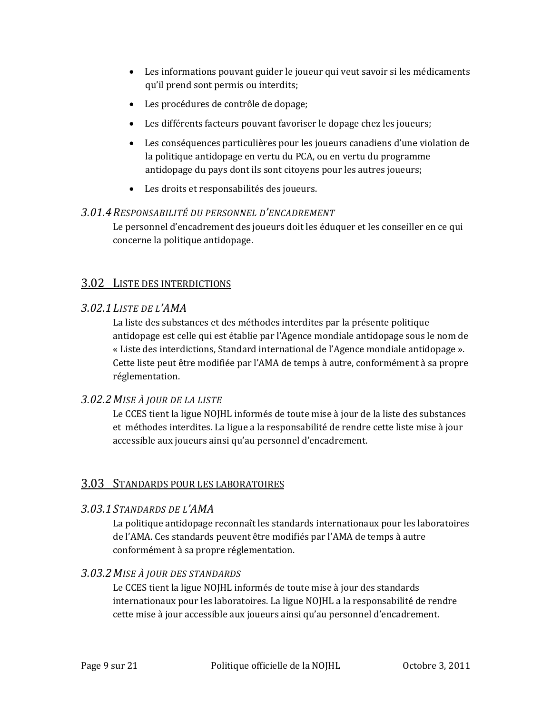- Les informations pouvant guider le joueur qui veut savoir si les médicaments qu'il prend sont permis ou interdits;
- Les procédures de contrôle de dopage;
- Les différents facteurs pouvant favoriser le dopage chez les joueurs;
- Les conséquences particulières pour les joueurs canadiens d'une violation de la politique antidopage en vertu du PCA, ou en vertu du programme antidopage du pays dont ils sont citoyens pour les autres joueurs;
- Les droits et responsabilités des joueurs.

### *3.01.4RESPONSABILITÉ DU PERSONNEL D'ENCADREMENT*

Le personnel d'encadrement des joueurs doit les éduquer et les conseiller en ce qui concerne la politique antidopage.

# 3.02 LISTE DES INTERDICTIONS

# *3.02.1LISTE DE L'AMA*

La liste des substances et des méthodes interdites par la présente politique antidopage est celle qui est établie par l'Agence mondiale antidopage sous le nom de « Liste des interdictions, Standard international de l'Agence mondiale antidopage ». Cette liste peut être modifiée par l'AMA de temps à autre, conformément à sa propre réglementation.

# *3.02.2MISE À JOUR DE LA LISTE*

Le CCES tient la ligue NOJHL informés de toute mise à jour de la liste des substances et méthodes interdites. La ligue a la responsabilité de rendre cette liste mise à jour accessible aux joueurs ainsi qu'au personnel d'encadrement.

# 3.03 STANDARDS POUR LES LABORATOIRES

### *3.03.1STANDARDS DE L'AMA*

La politique antidopage reconnaît les standards internationaux pour les laboratoires de l'AMA. Ces standards peuvent être modifiés par l'AMA de temps à autre conformément à sa propre réglementation.

# *3.03.2MISE À JOUR DES STANDARDS*

Le CCES tient la ligue NOJHL informés de toute mise à jour des standards internationaux pour les laboratoires. La ligue NOJHL a la responsabilité de rendre cette mise à jour accessible aux joueurs ainsi qu'au personnel d'encadrement.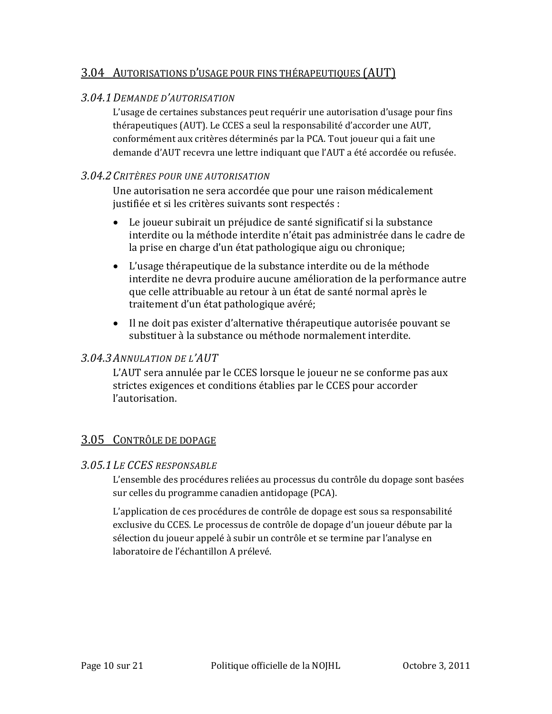# 3.04 AUTORISATIONS D'USAGE POUR FINS THÉRAPEUTIQUES (AUT)

### *3.04.1DEMANDE D'AUTORISATION*

L'usage de certaines substances peut requérir une autorisation d'usage pour fins thérapeutiques (AUT). Le CCES a seul la responsabilité d'accorder une AUT, conformément aux critères déterminés par la PCA. Tout joueur qui a fait une demande d'AUT recevra une lettre indiquant que l'AUT a été accordée ou refusée.

### *3.04.2CRITÈRES POUR UNE AUTORISATION*

Une autorisation ne sera accordée que pour une raison médicalement justifiée et si les critères suivants sont respectés :

- Le joueur subirait un préjudice de santé significatif si la substance interdite ou la méthode interdite n'était pas administrée dans le cadre de la prise en charge d'un état pathologique aigu ou chronique;
- L'usage thérapeutique de la substance interdite ou de la méthode interdite ne devra produire aucune amélioration de la performance autre que celle attribuable au retour à un état de santé normal après le traitement d'un état pathologique avéré;
- Il ne doit pas exister d'alternative thérapeutique autorisée pouvant se substituer à la substance ou méthode normalement interdite.

### *3.04.3ANNULATION DE L'AUT*

L'AUT sera annulée par le CCES lorsque le joueur ne se conforme pas aux strictes exigences et conditions établies par le CCES pour accorder l'autorisation.

# 3.05 CONTRÔLE DE DOPAGE

### *3.05.1LE CCES RESPONSABLE*

L'ensemble des procédures reliées au processus du contrôle du dopage sont basées sur celles du programme canadien antidopage (PCA).

L'application de ces procédures de contrôle de dopage est sous sa responsabilité exclusive du CCES. Le processus de contrôle de dopage d'un joueur débute par la sélection du joueur appelé à subir un contrôle et se termine par l'analyse en laboratoire de l'échantillon A prélevé.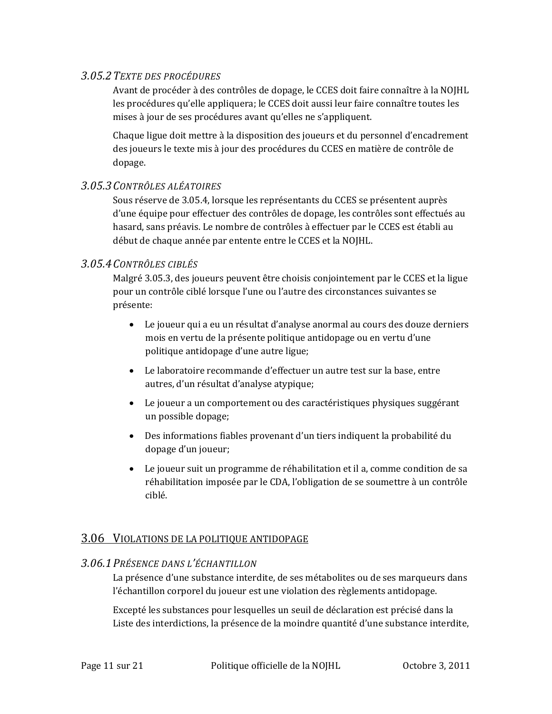### *3.05.2TEXTE DES PROCÉDURES*

Avant de procéder à des contrôles de dopage, le CCES doit faire connaître à la NOJHL les procédures qu'elle appliquera; le CCES doit aussi leur faire connaître toutes les mises à jour de ses procédures avant qu'elles ne s'appliquent.

Chaque ligue doit mettre à la disposition des joueurs et du personnel d'encadrement des joueurs le texte mis à jour des procédures du CCES en matière de contrôle de dopage.

### *3.05.3CONTRÔLES ALÉATOIRES*

Sous réserve de 3.05.4, lorsque les représentants du CCES se présentent auprès d'une équipe pour effectuer des contrôles de dopage, les contrôles sont effectués au hasard, sans préavis. Le nombre de contrôles à effectuer par le CCES est établi au début de chaque année par entente entre le CCES et la NOJHL.

# *3.05.4CONTRÔLES CIBLÉS*

Malgré 3.05.3, des joueurs peuvent être choisis conjointement par le CCES et la ligue pour un contrôle ciblé lorsque l'une ou l'autre des circonstances suivantes se présente:

- Le joueur qui a eu un résultat d'analyse anormal au cours des douze derniers mois en vertu de la présente politique antidopage ou en vertu d'une politique antidopage d'une autre ligue;
- Le laboratoire recommande d'effectuer un autre test sur la base, entre autres, d'un résultat d'analyse atypique;
- Le joueur a un comportement ou des caractéristiques physiques suggérant un possible dopage;
- Des informations fiables provenant d'un tiers indiquent la probabilité du dopage d'un joueur;
- Le joueur suit un programme de réhabilitation et il a, comme condition de sa réhabilitation imposée par le CDA, l'obligation de se soumettre à un contrôle ciblé.

# 3.06 VIOLATIONS DE LA POLITIQUE ANTIDOPAGE

### *3.06.1PRÉSENCE DANS L'ÉCHANTILLON*

La présence d'une substance interdite, de ses métabolites ou de ses marqueurs dans l'échantillon corporel du joueur est une violation des règlements antidopage.

Excepté les substances pour lesquelles un seuil de déclaration est précisé dans la Liste des interdictions, la présence de la moindre quantité d'une substance interdite,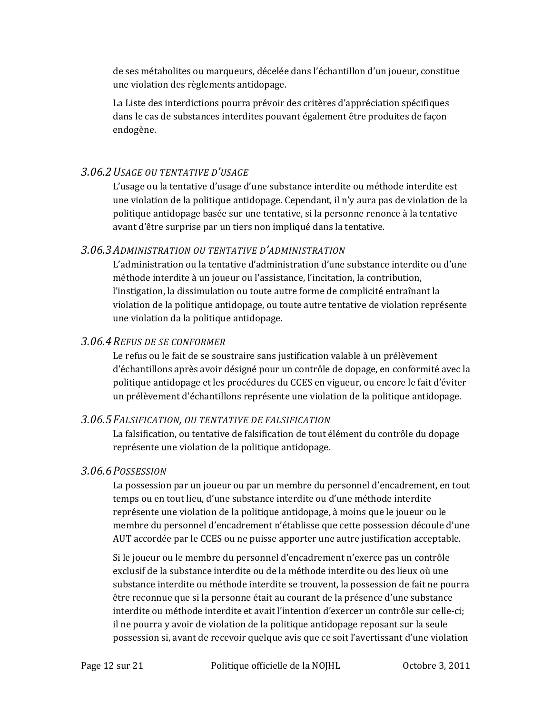de ses métabolites ou marqueurs, décelée dans l'échantillon d'un joueur, constitue une violation des règlements antidopage.

La Liste des interdictions pourra prévoir des critères d'appréciation spécifiques dans le cas de substances interdites pouvant également être produites de façon endogène.

### *3.06.2USAGE OU TENTATIVE D'USAGE*

L'usage ou la tentative d'usage d'une substance interdite ou méthode interdite est une violation de la politique antidopage. Cependant, il n'y aura pas de violation de la politique antidopage basée sur une tentative, si la personne renonce à la tentative avant d'être surprise par un tiers non impliqué dans la tentative.

### *3.06.3ADMINISTRATION OU TENTATIVE D'ADMINISTRATION*

L'administration ou la tentative d'administration d'une substance interdite ou d'une méthode interdite à un joueur ou l'assistance, l'incitation, la contribution, l'instigation, la dissimulation ou toute autre forme de complicité entraînant la violation de la politique antidopage, ou toute autre tentative de violation représente une violation da la politique antidopage.

### *3.06.4REFUS DE SE CONFORMER*

Le refus ou le fait de se soustraire sans justification valable à un prélèvement d'échantillons après avoir désigné pour un contrôle de dopage, en conformité avec la politique antidopage et les procédures du CCES en vigueur, ou encore le fait d'éviter un prélèvement d'échantillons représente une violation de la politique antidopage.

### *3.06.5FALSIFICATION, OU TENTATIVE DE FALSIFICATION*

La falsification, ou tentative de falsification de tout élément du contrôle du dopage représente une violation de la politique antidopage.

### *3.06.6POSSESSION*

La possession par un joueur ou par un membre du personnel d'encadrement, en tout temps ou en tout lieu, d'une substance interdite ou d'une méthode interdite représente une violation de la politique antidopage, à moins que le joueur ou le membre du personnel d'encadrement n'établisse que cette possession découle d'une AUT accordée par le CCES ou ne puisse apporter une autre justification acceptable.

Si le joueur ou le membre du personnel d'encadrement n'exerce pas un contrôle exclusif de la substance interdite ou de la méthode interdite ou des lieux où une substance interdite ou méthode interdite se trouvent, la possession de fait ne pourra être reconnue que si la personne était au courant de la présence d'une substance interdite ou méthode interdite et avait l'intention d'exercer un contrôle sur celle‐ci; il ne pourra y avoir de violation de la politique antidopage reposant sur la seule possession si, avant de recevoir quelque avis que ce soit l'avertissant d'une violation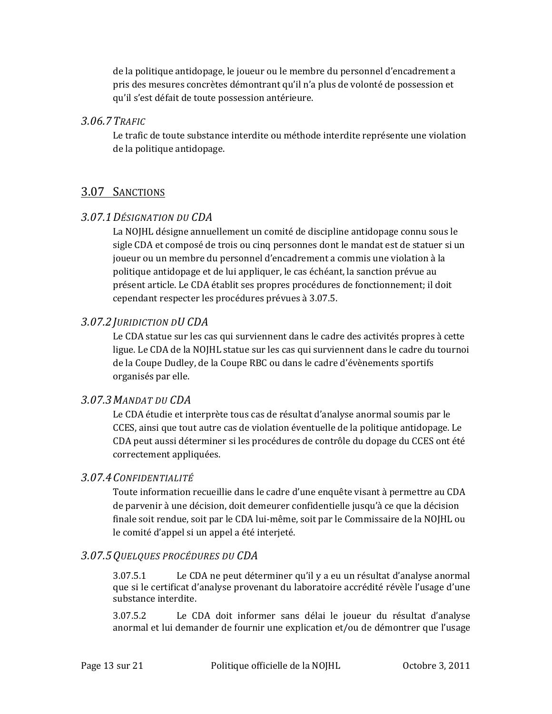de la politique antidopage, le joueur ou le membre du personnel d'encadrement a pris des mesures concrètes démontrant qu'il n'a plus de volonté de possession et qu'il s'est défait de toute possession antérieure.

### *3.06.7TRAFIC*

Le trafic de toute substance interdite ou méthode interdite représente une violation de la politique antidopage.

# 3.07 SANCTIONS

### *3.07.1DÉSIGNATION DU CDA*

La NOJHL désigne annuellement un comité de discipline antidopage connu sous le sigle CDA et composé de trois ou cinq personnes dont le mandat est de statuer si un joueur ou un membre du personnel d'encadrement a commis une violation à la politique antidopage et de lui appliquer, le cas échéant, la sanction prévue au présent article. Le CDA établit ses propres procédures de fonctionnement; il doit cependant respecter les procédures prévues à 3.07.5.

### *3.07.2JURIDICTION DU CDA*

Le CDA statue sur les cas qui surviennent dans le cadre des activités propres à cette ligue. Le CDA de la NOJHL statue sur les cas qui surviennent dans le cadre du tournoi de la Coupe Dudley, de la Coupe RBC ou dans le cadre d'évènements sportifs organisés par elle.

### *3.07.3MANDAT DU CDA*

Le CDA étudie et interprète tous cas de résultat d'analyse anormal soumis par le CCES, ainsi que tout autre cas de violation éventuelle de la politique antidopage. Le CDA peut aussi déterminer si les procédures de contrôle du dopage du CCES ont été correctement appliquées.

### *3.07.4CONFIDENTIALITÉ*

Toute information recueillie dans le cadre d'une enquête visant à permettre au CDA de parvenir à une décision, doit demeurer confidentielle jusqu'à ce que la décision finale soit rendue, soit par le CDA lui‐même, soit par le Commissaire de la NOJHL ou le comité d'appel si un appel a été interjeté.

### *3.07.5QUELQUES PROCÉDURES DU CDA*

3.07.5.1 Le CDA ne peut déterminer qu'il y a eu un résultat d'analyse anormal que si le certificat d'analyse provenant du laboratoire accrédité révèle l'usage d'une substance interdite.

3.07.5.2 Le CDA doit informer sans délai le joueur du résultat d'analyse anormal et lui demander de fournir une explication et/ou de démontrer que l'usage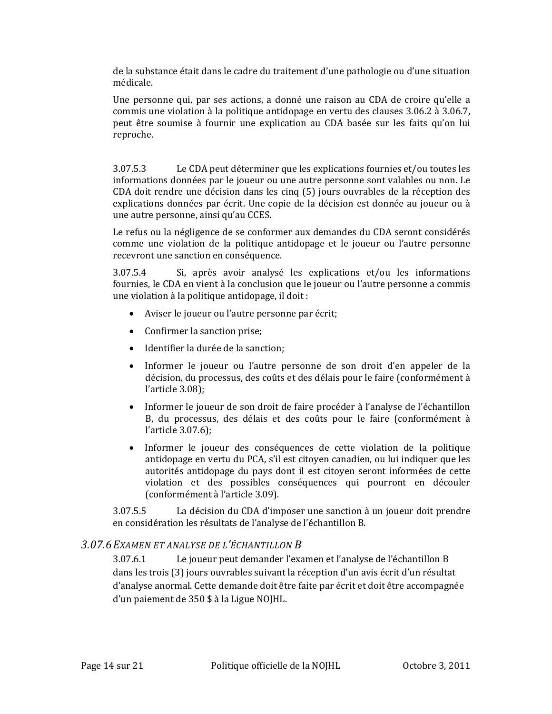de la substance était dans le cadre du traitement d'une pathologie ou d'une situation médicale.

Une personne qui, par ses actions, a donné une raison au CDA de croire qu'elle a commis une violation à la politique antidopage en vertu des clauses 3.06.2 à 3.06.7, peut être soumise à fournir une explication au CDA basée sur les faits qu'on lui reproche.

3.07.5.3 Le CDA peut déterminer que les explications fournies et/ou toutes les informations données par le joueur ou une autre personne sont valables ou non. Le CDA doit rendre une décision dans les cinq (5) jours ouvrables de la réception des explications données par écrit. Une copie de la décision est donnée au joueur ou à une autre personne, ainsi qu'au CCES.

Le refus ou la négligence de se conformer aux demandes du CDA seront considérés comme une violation de la politique antidopage et le joueur ou l'autre personne recevront une sanction en conséquence.

3.07.5.4 Si, après avoir analysé les explications et/ou les informations fournies, le CDA en vient à la conclusion que le joueur ou l'autre personne a commis une violation à la politique antidopage, il doit :

- Aviser le joueur ou l'autre personne par écrit;
- Confirmer la sanction prise;
- Identifier la durée de la sanction;
- Informer le joueur ou l'autre personne de son droit d'en appeler de la décision, du processus, des coûts et des délais pour le faire (conformément à l'article 3.08);
- Informer le joueur de son droit de faire procéder à l'analyse de l'échantillon B, du processus, des délais et des coûts pour le faire (conformément à l'article 3.07.6);
- Informer le joueur des conséquences de cette violation de la politique antidopage en vertu du PCA, s'il est citoyen canadien, ou lui indiquer que les autorités antidopage du pays dont il est citoyen seront informées de cette violation et des possibles conséquences qui pourront en découler (conformément à l'article 3.09).

3.07.5.5 La décision du CDA d'imposer une sanction à un joueur doit prendre en considération les résultats de l'analyse de l'échantillon B.

### *3.07.6EXAMEN ET ANALYSE DE L'ÉCHANTILLON B*

3.07.6.1 Le joueur peut demander l'examen et l'analyse de l'échantillon B dans les trois (3) jours ouvrables suivant la réception d'un avis écrit d'un résultat d'analyse anormal. Cette demande doit être faite par écrit et doit être accompagnée d'un paiement de 350 \$ à la Ligue NOJHL.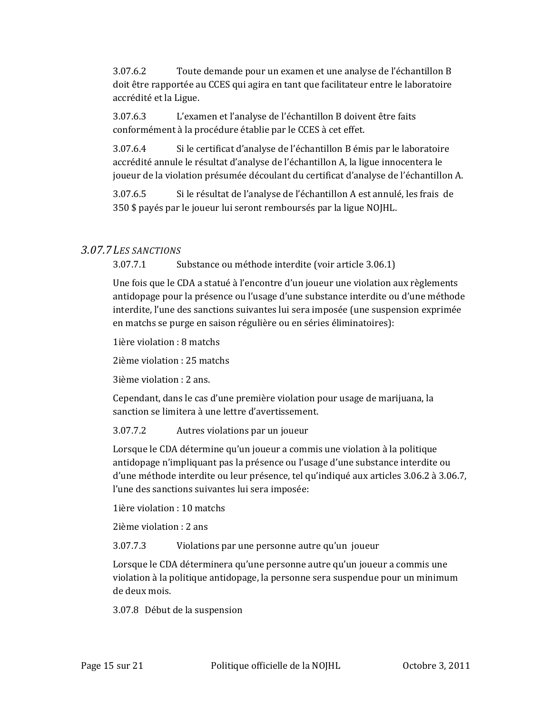3.07.6.2 Toute demande pour un examen et une analyse de l'échantillon B doit être rapportée au CCES qui agira en tant que facilitateur entre le laboratoire accrédité et la Ligue.

3.07.6.3 L'examen et l'analyse de l'échantillon B doivent être faits conformément à la procédure établie par le CCES à cet effet.

3.07.6.4 Si le certificat d'analyse de l'échantillon B émis par le laboratoire accrédité annule le résultat d'analyse de l'échantillon A, la ligue innocentera le joueur de la violation présumée découlant du certificat d'analyse de l'échantillon A.

3.07.6.5 Si le résultat de l'analyse de l'échantillon A est annulé, les frais de 350 \$ payés par le joueur lui seront remboursés par la ligue NOJHL.

### *3.07.7LES SANCTIONS*

3.07.7.1 Substance ou méthode interdite (voir article 3.06.1)

Une fois que le CDA a statué à l'encontre d'un joueur une violation aux règlements antidopage pour la présence ou l'usage d'une substance interdite ou d'une méthode interdite, l'une des sanctions suivantes lui sera imposée (une suspension exprimée en matchs se purge en saison régulière ou en séries éliminatoires):

1ière violation : 8 matchs

2ième violation : 25 matchs

3ième violation : 2 ans.

Cependant, dans le cas d'une première violation pour usage de marijuana, la sanction se limitera à une lettre d'avertissement.

3.07.7.2 Autres violations par un joueur

Lorsque le CDA détermine qu'un joueur a commis une violation à la politique antidopage n'impliquant pas la présence ou l'usage d'une substance interdite ou d'une méthode interdite ou leur présence, tel qu'indiqué aux articles 3.06.2 à 3.06.7, l'une des sanctions suivantes lui sera imposée:

1ière violation : 10 matchs

2ième violation : 2 ans

3.07.7.3 Violations par une personne autre qu'un joueur

Lorsque le CDA déterminera qu'une personne autre qu'un joueur a commis une violation à la politique antidopage, la personne sera suspendue pour un minimum de deux mois.

3.07.8 Début de la suspension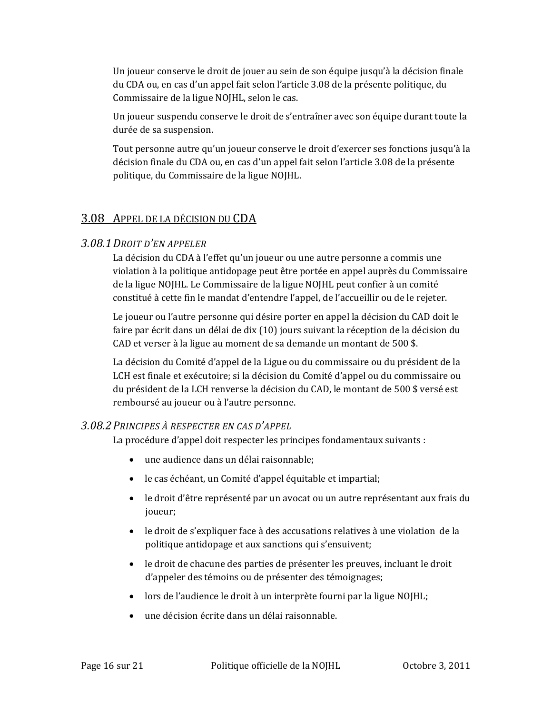Un joueur conserve le droit de jouer au sein de son équipe jusqu'à la décision finale du CDA ou, en cas d'un appel fait selon l'article 3.08 de la présente politique, du Commissaire de la ligue NOJHL, selon le cas.

Un joueur suspendu conserve le droit de s'entraîner avec son équipe durant toute la durée de sa suspension.

Tout personne autre qu'un joueur conserve le droit d'exercer ses fonctions jusqu'à la décision finale du CDA ou, en cas d'un appel fait selon l'article 3.08 de la présente politique, du Commissaire de la ligue NOJHL.

# 3.08 APPEL DE LA DÉCISION DU CDA

### *3.08.1DROIT D'EN APPELER*

La décision du CDA à l'effet qu'un joueur ou une autre personne a commis une violation à la politique antidopage peut être portée en appel auprès du Commissaire de la ligue NOJHL. Le Commissaire de la ligue NOJHL peut confier à un comité constitué à cette fin le mandat d'entendre l'appel, de l'accueillir ou de le rejeter.

Le joueur ou l'autre personne qui désire porter en appel la décision du CAD doit le faire par écrit dans un délai de dix (10) jours suivant la réception de la décision du CAD et verser à la ligue au moment de sa demande un montant de 500 \$.

La décision du Comité d'appel de la Ligue ou du commissaire ou du président de la LCH est finale et exécutoire; si la décision du Comité d'appel ou du commissaire ou du président de la LCH renverse la décision du CAD, le montant de 500 \$ versé est remboursé au joueur ou à l'autre personne.

### *3.08.2PRINCIPES À RESPECTER EN CAS D'APPEL*

La procédure d'appel doit respecter les principes fondamentaux suivants :

- une audience dans un délai raisonnable;
- le cas échéant, un Comité d'appel équitable et impartial;
- le droit d'être représenté par un avocat ou un autre représentant aux frais du joueur;
- le droit de s'expliquer face à des accusations relatives à une violation de la politique antidopage et aux sanctions qui s'ensuivent;
- le droit de chacune des parties de présenter les preuves, incluant le droit d'appeler des témoins ou de présenter des témoignages;
- lors de l'audience le droit à un interprète fourni par la ligue NOJHL;
- une décision écrite dans un délai raisonnable.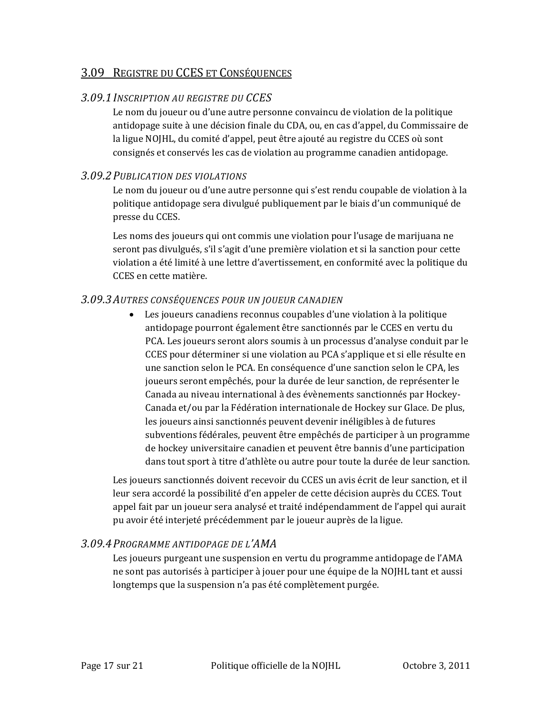### 3.09 REGISTRE DU CCES ET CONSÉQUENCES

### *3.09.1INSCRIPTION AU REGISTRE DU CCES*

Le nom du joueur ou d'une autre personne convaincu de violation de la politique antidopage suite à une décision finale du CDA, ou, en cas d'appel, du Commissaire de la ligue NOJHL, du comité d'appel, peut être ajouté au registre du CCES où sont consignés et conservés les cas de violation au programme canadien antidopage.

### *3.09.2PUBLICATION DES VIOLATIONS*

Le nom du joueur ou d'une autre personne qui s'est rendu coupable de violation à la politique antidopage sera divulgué publiquement par le biais d'un communiqué de presse du CCES.

Les noms des joueurs qui ont commis une violation pour l'usage de marijuana ne seront pas divulgués, s'il s'agit d'une première violation et si la sanction pour cette violation a été limité à une lettre d'avertissement, en conformité avec la politique du CCES en cette matière.

### *3.09.3AUTRES CONSÉQUENCES POUR UN JOUEUR CANADIEN*

 Les joueurs canadiens reconnus coupables d'une violation à la politique antidopage pourront également être sanctionnés par le CCES en vertu du PCA. Les joueurs seront alors soumis à un processus d'analyse conduit par le CCES pour déterminer si une violation au PCA s'applique et si elle résulte en une sanction selon le PCA. En conséquence d'une sanction selon le CPA, les joueurs seront empêchés, pour la durée de leur sanction, de représenter le Canada au niveau international à des évènements sanctionnés par Hockey‐ Canada et/ou par la Fédération internationale de Hockey sur Glace. De plus, les joueurs ainsi sanctionnés peuvent devenir inéligibles à de futures subventions fédérales, peuvent être empêchés de participer à un programme de hockey universitaire canadien et peuvent être bannis d'une participation dans tout sport à titre d'athlète ou autre pour toute la durée de leur sanction.

Les joueurs sanctionnés doivent recevoir du CCES un avis écrit de leur sanction, et il leur sera accordé la possibilité d'en appeler de cette décision auprès du CCES. Tout appel fait par un joueur sera analysé et traité indépendamment de l'appel qui aurait pu avoir été interjeté précédemment par le joueur auprès de la ligue.

### *3.09.4PROGRAMME ANTIDOPAGE DE L'AMA*

Les joueurs purgeant une suspension en vertu du programme antidopage de l'AMA ne sont pas autorisés à participer à jouer pour une équipe de la NOJHL tant et aussi longtemps que la suspension n'a pas été complètement purgée.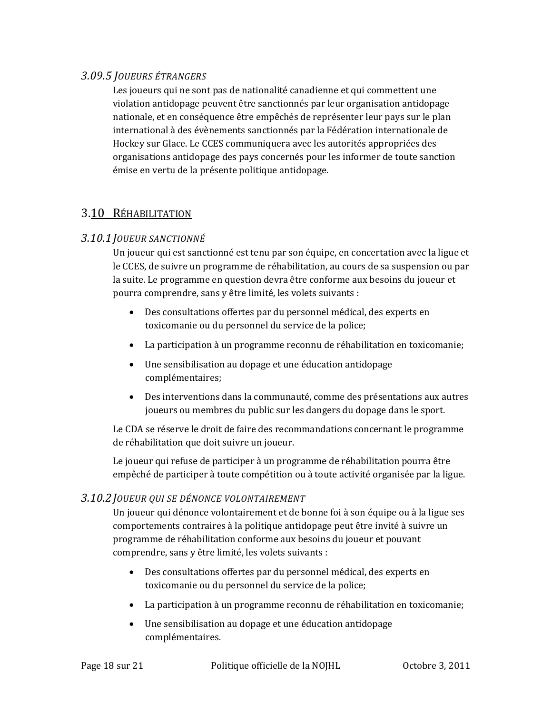### *3.09.5 JOUEURS ÉTRANGERS*

Les joueurs qui ne sont pas de nationalité canadienne et qui commettent une violation antidopage peuvent être sanctionnés par leur organisation antidopage nationale, et en conséquence être empêchés de représenter leur pays sur le plan international à des évènements sanctionnés par la Fédération internationale de Hockey sur Glace. Le CCES communiquera avec les autorités appropriées des organisations antidopage des pays concernés pour les informer de toute sanction émise en vertu de la présente politique antidopage.

# 3.10 RÉHABILITATION

### *3.10.1JOUEUR SANCTIONNÉ*

Un joueur qui est sanctionné est tenu par son équipe, en concertation avec la ligue et le CCES, de suivre un programme de réhabilitation, au cours de sa suspension ou par la suite. Le programme en question devra être conforme aux besoins du joueur et pourra comprendre, sans y être limité, les volets suivants :

- Des consultations offertes par du personnel médical, des experts en toxicomanie ou du personnel du service de la police;
- La participation à un programme reconnu de réhabilitation en toxicomanie;
- Une sensibilisation au dopage et une éducation antidopage complémentaires;
- Des interventions dans la communauté, comme des présentations aux autres joueurs ou membres du public sur les dangers du dopage dans le sport.

Le CDA se réserve le droit de faire des recommandations concernant le programme de réhabilitation que doit suivre un joueur.

Le joueur qui refuse de participer à un programme de réhabilitation pourra être empêché de participer à toute compétition ou à toute activité organisée par la ligue.

### *3.10.2JOUEUR QUI SE DÉNONCE VOLONTAIREMENT*

Un joueur qui dénonce volontairement et de bonne foi à son équipe ou à la ligue ses comportements contraires à la politique antidopage peut être invité à suivre un programme de réhabilitation conforme aux besoins du joueur et pouvant comprendre, sans y être limité, les volets suivants :

- Des consultations offertes par du personnel médical, des experts en toxicomanie ou du personnel du service de la police;
- La participation à un programme reconnu de réhabilitation en toxicomanie;
- Une sensibilisation au dopage et une éducation antidopage complémentaires.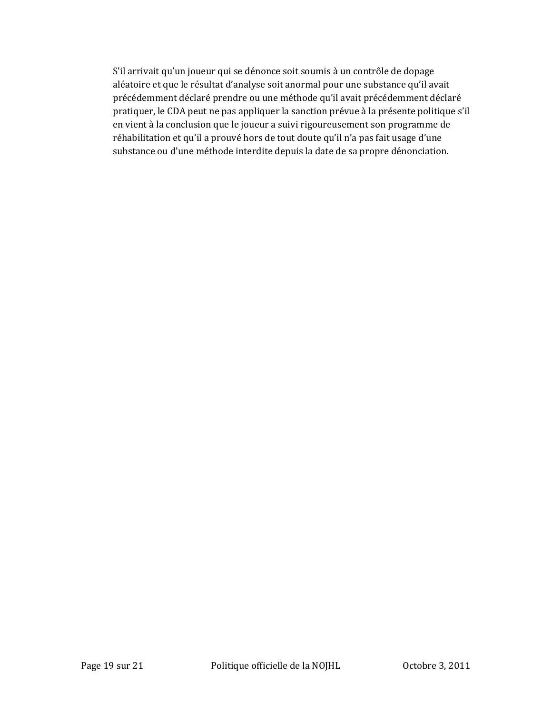S'il arrivait qu'un joueur qui se dénonce soit soumis à un contrôle de dopage aléatoire et que le résultat d'analyse soit anormal pour une substance qu'il avait précédemment déclaré prendre ou une méthode qu'il avait précédemment déclaré pratiquer, le CDA peut ne pas appliquer la sanction prévue à la présente politique s'il en vient à la conclusion que le joueur a suivi rigoureusement son programme de réhabilitation et qu'il a prouvé hors de tout doute qu'il n'a pas fait usage d'une substance ou d'une méthode interdite depuis la date de sa propre dénonciation.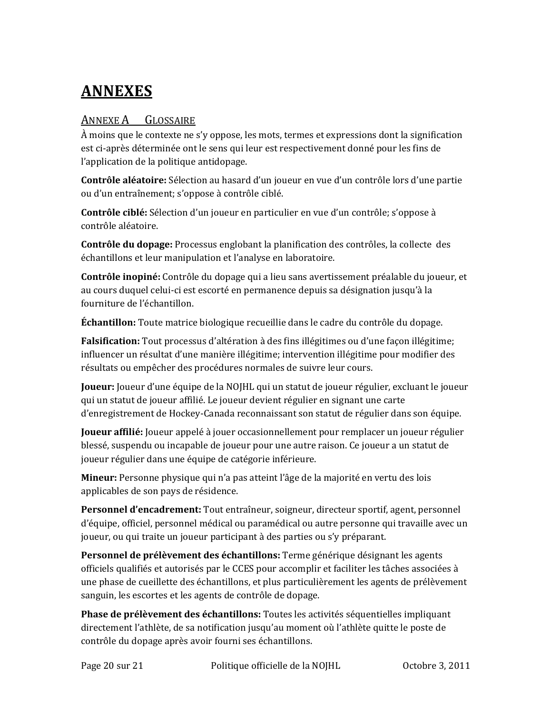# **ANNEXES**

### ANNEXE A GLOSSAIRE

À moins que le contexte ne s'y oppose, les mots, termes et expressions dont la signification est ci‐après déterminée ont le sens qui leur est respectivement donné pour les fins de l'application de la politique antidopage.

**Contrôle aléatoire:** Sélection au hasard d'un joueur en vue d'un contrôle lors d'une partie ou d'un entraînement; s'oppose à contrôle ciblé.

**Contrôle ciblé:** Sélection d'un joueur en particulier en vue d'un contrôle; s'oppose à contrôle aléatoire.

**Contrôle du dopage:** Processus englobant la planification des contrôles, la collecte des échantillons et leur manipulation et l'analyse en laboratoire.

**Contrôle inopiné:** Contrôle du dopage qui a lieu sans avertissement préalable du joueur, et au cours duquel celui‐ci est escorté en permanence depuis sa désignation jusqu'à la fourniture de l'échantillon.

**Échantillon:** Toute matrice biologique recueillie dans le cadre du contrôle du dopage.

**Falsification:** Tout processus d'altération à des fins illégitimes ou d'une façon illégitime; influencer un résultat d'une manière illégitime; intervention illégitime pour modifier des résultats ou empêcher des procédures normales de suivre leur cours.

**Joueur:** Joueur d'une équipe de la NOJHL qui un statut de joueur régulier, excluant le joueur qui un statut de joueur affilié. Le joueur devient régulier en signant une carte d'enregistrement de Hockey‐Canada reconnaissant son statut de régulier dans son équipe.

**Joueur affilié:** Joueur appelé à jouer occasionnellement pour remplacer un joueur régulier blessé, suspendu ou incapable de joueur pour une autre raison. Ce joueur a un statut de joueur régulier dans une équipe de catégorie inférieure.

**Mineur:** Personne physique qui n'a pas atteint l'âge de la majorité en vertu des lois applicables de son pays de résidence.

**Personnel d'encadrement:** Tout entraîneur, soigneur, directeur sportif, agent, personnel d'équipe, officiel, personnel médical ou paramédical ou autre personne qui travaille avec un joueur, ou qui traite un joueur participant à des parties ou s'y préparant.

**Personnel de prélèvement des échantillons:** Terme générique désignant les agents officiels qualifiés et autorisés par le CCES pour accomplir et faciliter les tâches associées à une phase de cueillette des échantillons, et plus particulièrement les agents de prélèvement sanguin, les escortes et les agents de contrôle de dopage.

**Phase de prélèvement des échantillons:** Toutes les activités séquentielles impliquant directement l'athlète, de sa notification jusqu'au moment où l'athlète quitte le poste de contrôle du dopage après avoir fourni ses échantillons.

Page 20 sur 21 Politique officielle de la NOJHL Octobre 3, 2011